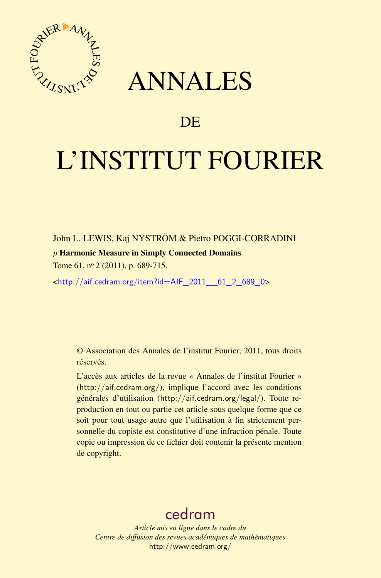

## ANNALES

## **DE**

# L'INSTITUT FOURIER

John L. LEWIS, Kaj NYSTRÖM & Pietro POGGI-CORRADINI

#### *p* Harmonic Measure in Simply Connected Domains

Tome 61, nº 2 (2011), p. 689-715.

<[http://aif.cedram.org/item?id=AIF\\_2011\\_\\_61\\_2\\_689\\_0](http://aif.cedram.org/item?id=AIF_2011__61_2_689_0)>

© Association des Annales de l'institut Fourier, 2011, tous droits réservés.

L'accès aux articles de la revue « Annales de l'institut Fourier » (<http://aif.cedram.org/>), implique l'accord avec les conditions générales d'utilisation (<http://aif.cedram.org/legal/>). Toute reproduction en tout ou partie cet article sous quelque forme que ce soit pour tout usage autre que l'utilisation à fin strictement personnelle du copiste est constitutive d'une infraction pénale. Toute copie ou impression de ce fichier doit contenir la présente mention de copyright.

## [cedram](http://www.cedram.org/)

*Article mis en ligne dans le cadre du Centre de diffusion des revues académiques de mathématiques* <http://www.cedram.org/>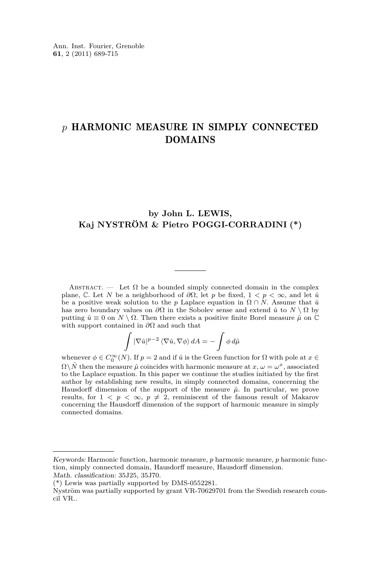### *p* HARMONIC MEASURE IN SIMPLY CONNECTED DOMAINS

#### **by John L. LEWIS, Kaj NYSTRÖM & Pietro POGGI-CORRADINI (\*)**

ABSTRACT. — Let  $\Omega$  be a bounded simply connected domain in the complex plane,  $\mathbb{C}$ . Let *N* be a neighborhood of  $\partial\Omega$ , let *p* be fixed,  $1 < p < \infty$ , and let  $\hat{u}$ be a positive weak solution to the *p* Laplace equation in  $\Omega \cap N$ . Assume that  $\hat{u}$ has zero boundary values on  $\partial\Omega$  in the Sobolev sense and extend  $\hat{u}$  to  $N \setminus \Omega$  by putting  $\hat{u} \equiv 0$  on  $N \setminus \Omega$ . Then there exists a positive finite Borel measure  $\hat{\mu}$  on  $\mathbb C$ with support contained in *∂*Ω and such that

$$
\int |\nabla \hat{u}|^{p-2} \left\langle \nabla \hat{u}, \nabla \phi \right\rangle dA = - \int \phi \, d\hat{\mu}
$$

whenever  $\phi \in C_0^{\infty}(N)$ . If  $p = 2$  and if  $\hat{u}$  is the Green function for  $\Omega$  with pole at  $x \in$  $\Omega \setminus \bar{N}$  then the measure  $\hat{\mu}$  coincides with harmonic measure at  $x, \omega = \omega^x$ , associated to the Laplace equation. In this paper we continue the studies initiated by the first author by establishing new results, in simply connected domains, concerning the Hausdorff dimension of the support of the measure  $\hat{\mu}$ . In particular, we prove results, for  $1 \leq p \leq \infty$ ,  $p \neq 2$ , reminiscent of the famous result of Makarov concerning the Hausdorff dimension of the support of harmonic measure in simply connected domains.

Keywords: Harmonic function, harmonic measure, *p* harmonic measure, *p* harmonic function, simply connected domain, Hausdorff measure, Hausdorff dimension. Math. classification: 35J25, 35J70.

<sup>(\*)</sup> Lewis was partially supported by DMS-0552281.

Nyström was partially supported by grant VR-70629701 from the Swedish research council VR..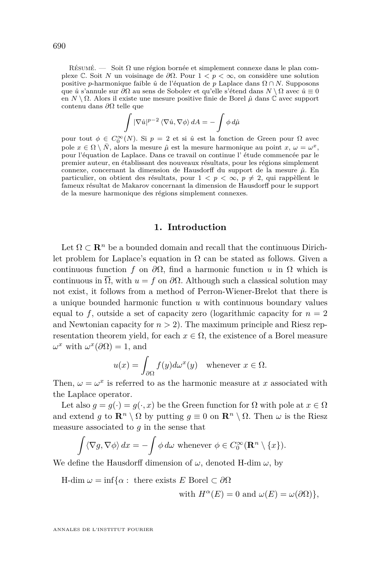RÉSUMÉ. — Soit  $\Omega$  une région bornée et simplement connexe dans le plan complexe C. Soit *N* un voisinage de *∂*Ω. Pour 1 *< p <* ∞, on considère une solution positive *p*-harmonique faible  $\hat{u}$  de l'équation de *p* Laplace dans  $\Omega \cap N$ . Supposons que *u*ˆ s'annule sur *∂*Ω au sens de Sobolev et qu'elle s'étend dans *N* \ Ω avec *u*ˆ ≡ 0 en *N* \ Ω. Alors il existe une mesure positive finie de Borel *µ*ˆ dans C avec support contenu dans *∂*Ω telle que

$$
\int |\nabla \hat{u}|^{p-2} \langle \nabla \hat{u}, \nabla \phi \rangle dA = -\int \phi d\hat{\mu}
$$

pour tout *ϕ* ∈  $C_0^{\infty}(N)$ . Si *p* = 2 et si *û* est la fonction de Green pour Ω avec pole  $x \in \Omega \setminus \overline{N}$ , alors la mesure  $\hat{\mu}$  est la mesure harmonique au point  $x, \omega = \omega^x$ , pour l'équation de Laplace. Dans ce travail on continue l' étude commencée par le premier auteur, en établissant des nouveaux résultats, pour les régions simplement connexe, concernant la dimension de Hausdorff du support de la mesure  $\hat{\mu}$ . En particulier, on obtient des résultats, pour  $1 < p < \infty$ ,  $p \neq 2$ , qui rappèllent le fameux résultat de Makarov concernant la dimension de Hausdorff pour le support de la mesure harmonique des régions simplement connexes.

#### **1. Introduction**

Let  $\Omega \subset \mathbb{R}^n$  be a bounded domain and recall that the continuous Dirichlet problem for Laplace's equation in  $\Omega$  can be stated as follows. Given a continuous function *f* on  $\partial\Omega$ , find a harmonic function *u* in  $\Omega$  which is continuous in  $\overline{\Omega}$ , with  $u = f$  on  $\partial \Omega$ . Although such a classical solution may not exist, it follows from a method of Perron-Wiener-Brelot that there is a unique bounded harmonic function *u* with continuous boundary values equal to  $f$ , outside a set of capacity zero (logarithmic capacity for  $n = 2$ ) and Newtonian capacity for  $n > 2$ ). The maximum principle and Riesz representation theorem yield, for each  $x \in \Omega$ , the existence of a Borel measure  $\omega^x$  with  $\omega^x(\partial\Omega) = 1$ , and

$$
u(x) = \int_{\partial \Omega} f(y) d\omega^x(y) \quad \text{whenever } x \in \Omega.
$$

Then,  $\omega = \omega^x$  is referred to as the harmonic measure at *x* associated with the Laplace operator.

Let also  $g = g(\cdot) = g(\cdot, x)$  be the Green function for  $\Omega$  with pole at  $x \in \Omega$ and extend *g* to  $\mathbb{R}^n \setminus \Omega$  by putting  $g \equiv 0$  on  $\mathbb{R}^n \setminus \Omega$ . Then  $\omega$  is the Riesz measure associated to *g* in the sense that

$$
\int \langle \nabla g, \nabla \phi \rangle dx = -\int \phi d\omega \text{ whenever } \phi \in C_0^{\infty}(\mathbf{R}^n \setminus \{x\}).
$$

We define the Hausdorff dimension of  $\omega$ , denoted H-dim  $\omega$ , by

H-dim  $\omega = \inf \{ \alpha : \text{ there exists } E \text{ Borel } \subset \partial \Omega \}$ 

with 
$$
H^{\alpha}(E) = 0
$$
 and  $\omega(E) = \omega(\partial \Omega)$ ,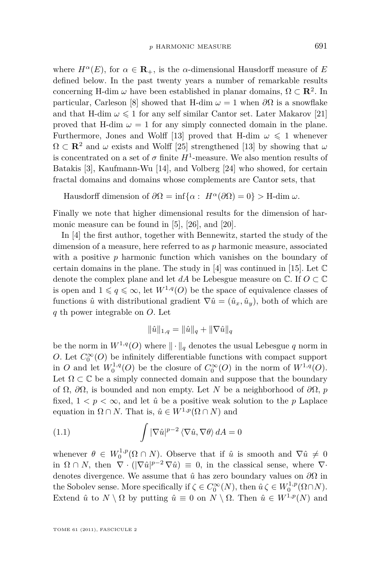<span id="page-3-0"></span>where  $H^{\alpha}(E)$ , for  $\alpha \in \mathbb{R}_{+}$ , is the *α*-dimensional Hausdorff measure of *E* defined below. In the past twenty years a number of remarkable results concerning H-dim  $\omega$  have been established in planar domains,  $\Omega \subset \mathbb{R}^2$ . In particular, Carleson [\[8\]](#page-26-0) showed that H-dim  $\omega = 1$  when  $\partial\Omega$  is a snowflake and that H-dim  $\omega \leq 1$  for any self similar Cantor set. Later Makarov [\[21\]](#page-27-0) proved that H-dim  $\omega = 1$  for any simply connected domain in the plane. Furthermore, Jones and Wolff [\[13\]](#page-26-0) proved that H-dim  $\omega \leq 1$  whenever  $\Omega \subset \mathbb{R}^2$  and  $\omega$  exists and Wolff [\[25\]](#page-27-0) strengthened [\[13\]](#page-26-0) by showing that  $\omega$ is concentrated on a set of  $\sigma$  finite  $H^1$ -measure. We also mention results of Batakis [\[3\]](#page-26-0), Kaufmann-Wu [\[14\]](#page-26-0), and Volberg [\[24\]](#page-27-0) who showed, for certain fractal domains and domains whose complements are Cantor sets, that

Hausdorff dimension of  $\partial\Omega = \inf{\alpha : H^{\alpha}(\partial\Omega) = 0}$  > H-dim  $\omega$ .

Finally we note that higher dimensional results for the dimension of harmonic measure can be found in [\[5\]](#page-26-0), [\[26\]](#page-27-0), and [\[20\]](#page-27-0).

In [\[4\]](#page-26-0) the first author, together with Bennewitz, started the study of the dimension of a measure, here referred to as *p* harmonic measure, associated with a positive *p* harmonic function which vanishes on the boundary of certain domains in the plane. The study in [\[4\]](#page-26-0) was continued in [\[15\]](#page-26-0). Let  $\mathbb C$ denote the complex plane and let *dA* be Lebesgue measure on  $\mathbb{C}$ . If  $O \subset \mathbb{C}$ is open and  $1 \leq q \leq \infty$ , let  $W^{1,q}(O)$  be the space of equivalence classes of functions  $\hat{u}$  with distributional gradient  $\nabla \hat{u} = (\hat{u}_x, \hat{u}_y)$ , both of which are *q* th power integrable on *O.* Let

$$
\|\hat{u}\|_{1,q} = \|\hat{u}\|_q + \|\nabla \hat{u}\|_q
$$

be the norm in  $W^{1,q}(O)$  where  $\|\cdot\|_q$  denotes the usual Lebesgue q norm in *O*. Let  $C_0^{\infty}(O)$  be infinitely differentiable functions with compact support in *O* and let  $W_0^{1,q}(O)$  be the closure of  $C_0^{\infty}(O)$  in the norm of  $W^{1,q}(O)$ . Let  $\Omega \subset \mathbb{C}$  be a simply connected domain and suppose that the boundary of Ω, *∂*Ω, is bounded and non empty. Let *N* be a neighborhood of *∂*Ω*, p* fixed,  $1 < p < \infty$ , and let  $\hat{u}$  be a positive weak solution to the p Laplace equation in  $\Omega \cap N$ . That is,  $\hat{u} \in W^{1,p}(\Omega \cap N)$  and

(1.1) 
$$
\int |\nabla \hat{u}|^{p-2} \langle \nabla \hat{u}, \nabla \theta \rangle dA = 0
$$

whenever  $\theta \in W_0^{1,p}(\Omega \cap N)$ . Observe that if  $\hat{u}$  is smooth and  $\nabla \hat{u} \neq 0$ in  $\Omega \cap N$ , then  $\nabla \cdot (|\nabla \hat{u}|^{p-2} \nabla \hat{u}) \equiv 0$ , in the classical sense, where  $\nabla \cdot$ denotes divergence. We assume that  $\hat{u}$  has zero boundary values on  $\partial\Omega$  in the Sobolev sense. More specifically if  $\zeta \in C_0^{\infty}(N)$ , then  $\hat{u} \zeta \in W_0^{1,p}(\Omega \cap N)$ . Extend  $\hat{u}$  to  $N \setminus \Omega$  by putting  $\hat{u} \equiv 0$  on  $N \setminus \Omega$ . Then  $\hat{u} \in W^{1,p}(N)$  and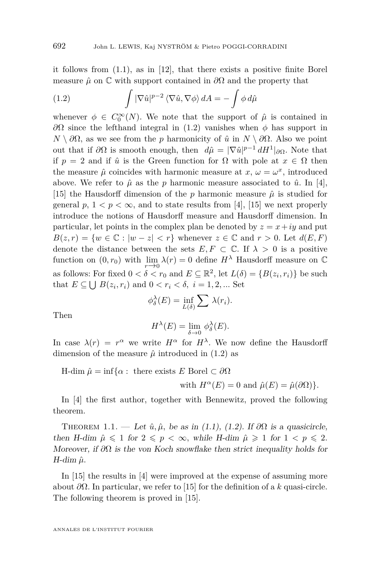<span id="page-4-0"></span>it follows from [\(1.1\)](#page-3-0), as in [\[12\]](#page-26-0), that there exists a positive finite Borel measure  $\hat{\mu}$  on  $\mathbb C$  with support contained in  $\partial\Omega$  and the property that

(1.2) 
$$
\int |\nabla \hat{u}|^{p-2} \langle \nabla \hat{u}, \nabla \phi \rangle dA = - \int \phi d\hat{\mu}
$$

whenever  $\phi \in C_0^{\infty}(N)$ . We note that the support of  $\hat{\mu}$  is contained in  $\partial\Omega$  since the lefthand integral in (1.2) vanishes when *φ* has support in  $N \setminus \partial\Omega$ , as we see from the *p* harmonicity of  $\hat{u}$  in  $N \setminus \partial\Omega$ . Also we point out that if  $\partial\Omega$  is smooth enough, then  $d\hat{\mu} = |\nabla \hat{u}|^{p-1} dH^1|_{\partial\Omega}$ . Note that if  $p = 2$  and if  $\hat{u}$  is the Green function for  $\Omega$  with pole at  $x \in \Omega$  then the measure  $\hat{\mu}$  coincides with harmonic measure at  $x, \omega = \omega^x$ , introduced above. We refer to  $\hat{\mu}$  as the *p* harmonic measure associated to  $\hat{u}$ . In [\[4\]](#page-26-0), [\[15\]](#page-26-0) the Hausdorff dimension of the  $p$  harmonic measure  $\hat{\mu}$  is studied for general  $p, 1 < p < \infty$ , and to state results from [\[4\]](#page-26-0), [\[15\]](#page-26-0) we next properly introduce the notions of Hausdorff measure and Hausdorff dimension. In particular, let points in the complex plan be denoted by  $z = x + iy$  and put  $B(z, r) = \{w \in \mathbb{C} : |w - z| < r\}$  whenever  $z \in \mathbb{C}$  and  $r > 0$ . Let  $d(E, F)$ denote the distance between the sets  $E, F \subset \mathbb{C}$ . If  $\lambda > 0$  is a positive function on  $(0, r_0)$  with  $\lim_{r \to 0} \lambda(r) = 0$  define  $H^{\lambda}$  Hausdorff measure on  $\mathbb{C}$ as follows: For fixed  $0 < \delta < r_0$  and  $E \subseteq \mathbb{R}^2$ , let  $L(\delta) = \{B(z_i, r_i)\}\)$  be such that  $E \subseteq \bigcup B(z_i, r_i)$  and  $0 < r_i < \delta, i = 1, 2, ...$  Set

$$
\phi_{\delta}^{\lambda}(E) = \inf_{L(\delta)} \sum \lambda(r_i).
$$

Then

$$
H^{\lambda}(E) = \lim_{\delta \to 0} \phi_{\delta}^{\lambda}(E).
$$

In case  $\lambda(r) = r^{\alpha}$  we write  $H^{\alpha}$  for  $H^{\lambda}$ . We now define the Hausdorff dimension of the measure  $\hat{\mu}$  introduced in (1.2) as

H-dim  $\hat{\mu} = \inf \{ \alpha : \text{ there exists } E \text{ Borel } \subset \partial \Omega \}$ 

with  $H^{\alpha}(E) = 0$  and  $\hat{\mu}(E) = \hat{\mu}(\partial \Omega)$ .

In [\[4\]](#page-26-0) the first author, together with Bennewitz, proved the following theorem.

THEOREM 1.1. — Let  $\hat{u}, \hat{\mu}$ , be as in [\(1.1\)](#page-3-0), (1.2). If  $\partial\Omega$  is a quasicircle, then H-dim  $\hat{\mu} \leq 1$  for  $2 \leq p \leq \infty$ , while H-dim  $\hat{\mu} \geq 1$  for  $1 \leq p \leq 2$ . Moreover, if *∂*Ω is the von Koch snowflake then strict inequality holds for  $H$ -dim  $\hat{\mu}$ .

In [\[15\]](#page-26-0) the results in [\[4\]](#page-26-0) were improved at the expense of assuming more about *∂*Ω. In particular, we refer to [\[15\]](#page-26-0) for the definition of a *k* quasi-circle. The following theorem is proved in [\[15\]](#page-26-0).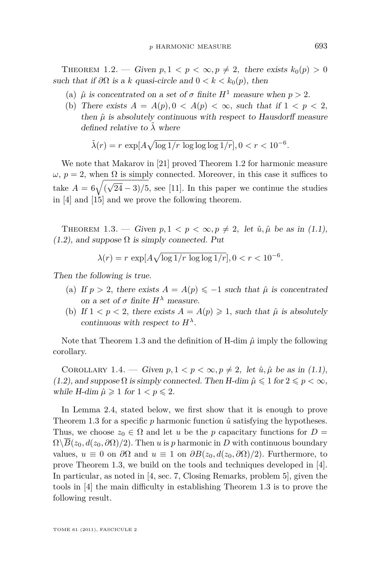<span id="page-5-0"></span>THEOREM 1.2. — Given  $p, 1 \lt p \lt \infty, p \neq 2$ , there exists  $k_0(p) > 0$ such that if  $\partial\Omega$  is a k quasi-circle and  $0 < k < k_0(p)$ , then

- (a)  $\hat{\mu}$  is concentrated on a set of  $\sigma$  finite  $H^1$  measure when  $p > 2$ .
- (b) There exists  $A = A(p), 0 < A(p) < \infty$ , such that if  $1 < p < 2$ , then  $\hat{\mu}$  is absolutely continuous with respect to Hausdorff measure defined relative to  $\lambda$  where

$$
\tilde{\lambda}(r) = r \, \exp[A\sqrt{\log 1/r \, \log \log \log 1/r}], 0 < r < 10^{-6}.
$$

We note that Makarov in [\[21\]](#page-27-0) proved Theorem 1.2 for harmonic measure *ω*, *p* = 2, when Ω is simply connected. Moreover, in this case it suffices to take  $A = 6\sqrt{6}$ √  $(24-3)/5$ , see [\[11\]](#page-26-0). In this paper we continue the studies in [\[4\]](#page-26-0) and [\[15\]](#page-26-0) and we prove the following theorem.

THEOREM 1.3. — Given  $p, 1 \lt p \lt \infty, p \neq 2$ , let  $\hat{u}, \hat{\mu}$  be as in [\(1.1\)](#page-3-0),  $(1.2)$ , and suppose  $\Omega$  is simply connected. Put

$$
\lambda(r) = r \, \exp[A\sqrt{\log 1/r \, \log \log 1/r}], 0 < r < 10^{-6}.
$$

Then the following is true.

- (a) If  $p > 2$ , there exists  $A = A(p) \leq -1$  such that  $\hat{\mu}$  is concentrated on a set of  $\sigma$  finite  $H^{\lambda}$  measure.
- (b) If  $1 < p < 2$ , there exists  $A = A(p) \geq 1$ , such that  $\hat{\mu}$  is absolutely continuous with respect to  $H^{\lambda}$ .

Note that Theorem 1.3 and the definition of H-dim  $\hat{\mu}$  imply the following corollary.

COROLLARY 1.4. — Given  $p, 1 < p < \infty, p \neq 2$ , let  $\hat{u}, \hat{\mu}$  be as in [\(1.1\)](#page-3-0), [\(1.2\)](#page-4-0), and suppose  $\Omega$  is simply connected. Then H-dim  $\hat{\mu} \leq 1$  for  $2 \leq p < \infty$ , while H-dim  $\hat{\mu} \geq 1$  for  $1 < p \leq 2$ .

In Lemma [2.4,](#page-7-0) stated below, we first show that it is enough to prove Theorem 1.3 for a specific  $p$  harmonic function  $\hat{u}$  satisfying the hypotheses. Thus, we choose  $z_0 \in \Omega$  and let *u* be the *p* capacitary functions for  $D =$  $\Omega\setminus\overline{B}(z_0, d(z_0, \partial\Omega)/2)$ . Then *u* is *p* harmonic in *D* with continuous boundary values, *u* ≡ 0 on *∂*Ω and *u* ≡ 1 on *∂B*(*z*0*, d*(*z*0*, ∂*Ω)*/*2)*.* Furthermore, to prove Theorem 1.3, we build on the tools and techniques developed in [\[4\]](#page-26-0). In particular, as noted in [\[4,](#page-26-0) sec. 7, Closing Remarks, problem 5], given the tools in [\[4\]](#page-26-0) the main difficulty in establishing Theorem 1.3 is to prove the following result.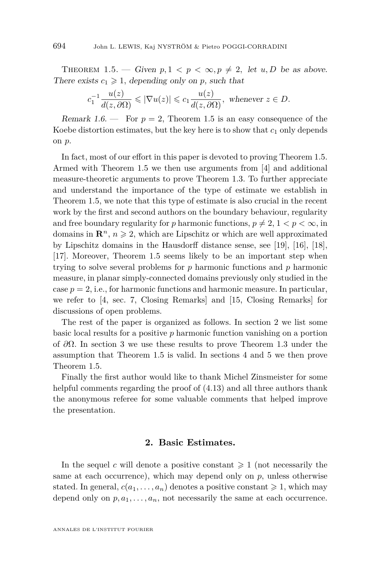<span id="page-6-0"></span>THEOREM 1.5. — Given  $p, 1 \lt p \lt \infty, p \ne 2$ , let  $u, D$  be as above. There exists  $c_1 \geq 1$ , depending only on *p*, such that

$$
c_1^{-1}\frac{u(z)}{d(z,\partial\Omega)} \leqslant |\nabla u(z)| \leqslant c_1 \frac{u(z)}{d(z,\partial\Omega)}, \text{ whenever } z \in D.
$$

Remark 1.6. — For  $p = 2$ , Theorem 1.5 is an easy consequence of the Koebe distortion estimates, but the key here is to show that  $c_1$  only depends on *p*.

In fact, most of our effort in this paper is devoted to proving Theorem 1.5. Armed with Theorem 1.5 we then use arguments from [\[4\]](#page-26-0) and additional measure-theoretic arguments to prove Theorem [1.3.](#page-5-0) To further appreciate and understand the importance of the type of estimate we establish in Theorem 1.5, we note that this type of estimate is also crucial in the recent work by the first and second authors on the boundary behaviour, regularity and free boundary regularity for *p* harmonic functions,  $p \neq 2, 1 < p < \infty$ , in domains in  $\mathbb{R}^n$ ,  $n \geq 2$ , which are Lipschitz or which are well approximated by Lipschitz domains in the Hausdorff distance sense, see [\[19\]](#page-27-0), [\[16\]](#page-26-0), [\[18\]](#page-27-0), [\[17\]](#page-26-0). Moreover, Theorem 1.5 seems likely to be an important step when trying to solve several problems for *p* harmonic functions and *p* harmonic measure, in planar simply-connected domains previously only studied in the case  $p = 2$ , i.e., for harmonic functions and harmonic measure. In particular, we refer to [\[4,](#page-26-0) sec. 7, Closing Remarks] and [\[15,](#page-26-0) Closing Remarks] for discussions of open problems.

The rest of the paper is organized as follows. In section 2 we list some basic local results for a positive *p* harmonic function vanishing on a portion of *∂*Ω*.* In section [3](#page-9-0) we use these results to prove Theorem [1.3](#page-5-0) under the assumption that Theorem 1.5 is valid. In sections [4](#page-13-0) and [5](#page-23-0) we then prove Theorem 1.5.

Finally the first author would like to thank Michel Zinsmeister for some helpful comments regarding the proof of  $(4.13)$  and all three authors thank the anonymous referee for some valuable comments that helped improve the presentation.

#### **2. Basic Estimates.**

In the sequel *c* will denote a positive constant  $\geq 1$  (not necessarily the same at each occurrence), which may depend only on *p,* unless otherwise stated. In general,  $c(a_1, \ldots, a_n)$  denotes a positive constant  $\geq 1$ , which may depend only on  $p, a_1, \ldots, a_n$ , not necessarily the same at each occurrence.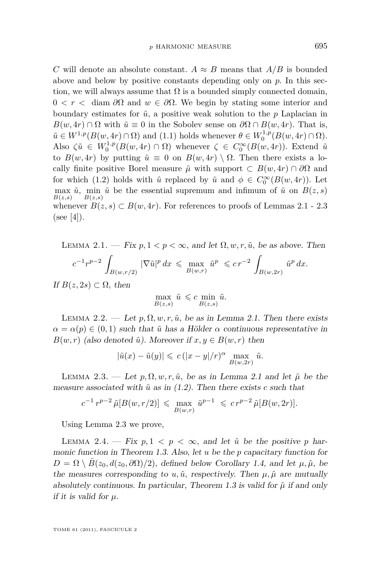<span id="page-7-0"></span>*C* will denote an absolute constant.  $A \approx B$  means that  $A/B$  is bounded above and below by positive constants depending only on *p.* In this section, we will always assume that  $\Omega$  is a bounded simply connected domain,  $0 < r <$  diam *∂*Ω and *w* ∈ *∂*Ω. We begin by stating some interior and boundary estimates for  $\tilde{u}$ , a positive weak solution to the *p* Laplacian in  $B(w, 4r) \cap \Omega$  with  $\tilde{u} \equiv 0$  in the Sobolev sense on  $\partial \Omega \cap B(w, 4r)$ . That is,  $\tilde{u} \in W^{1,p}(B(w, 4r) \cap \Omega)$  and  $(1.1)$  holds whenever  $\theta \in W_0^{1,p}(B(w, 4r) \cap \Omega)$ *.* Also  $\zeta \tilde{u} \in W_0^{1,p}(B(w, 4r) \cap \Omega)$  whenever  $\zeta \in C_0^{\infty}(B(w, 4r))$ . Extend  $\tilde{u}$ to  $B(w, 4r)$  by putting  $\tilde{u} \equiv 0$  on  $B(w, 4r) \setminus \Omega$ . Then there exists a locally finite positive Borel measure  $\tilde{\mu}$  with support  $\subset B(w, 4r) \cap \partial \Omega$  and for which [\(1.2\)](#page-4-0) holds with  $\hat{u}$  replaced by  $\tilde{u}$  and  $\phi \in C_0^{\infty}(B(w, 4r))$ . Let  $\max_{\tilde{u}} \tilde{u}$ ,  $\min_{\tilde{u}} \tilde{u}$  be the essential supremum and infimum of  $\tilde{u}$  on  $B(z, s)$ *B*(*z,s*) *B*(*z,s*) whenever  $B(z, s) \subset B(w, 4r)$ . For references to proofs of Lemmas 2.1 - 2.3  $(see [4]).$  $(see [4]).$  $(see [4]).$ 

LEMMA 2.1. — Fix  $p, 1 < p < \infty$ , and let  $\Omega, w, r, \tilde{u}$ , be as above. Then

$$
c^{-1} r^{p-2} \, \int_{B(w,r/2)} \, |\nabla \tilde u|^p \, dx \, \leqslant \, \max_{B(w,r)} \, \tilde u^p \, \leqslant c \, r^{-2} \, \int_{B(w,2r)} \, \tilde u^p \, dx.
$$

If  $B(z, 2s) \subset \Omega$ , then

$$
\max_{B(z,s)} \tilde{u} \, \leqslant c \min_{B(z,s)} \tilde{u}.
$$

LEMMA 2.2. — Let  $p, \Omega, w, r, \tilde{u}$ , be as in Lemma 2.1. Then there exists  $\alpha = \alpha(p) \in (0,1)$  such that  $\tilde{u}$  has a Hölder  $\alpha$  continuous representative in *B*(*w, r*) (also denoted  $\tilde{u}$ ). Moreover if  $x, y \in B(w, r)$  then

$$
|\tilde{u}(x) - \tilde{u}(y)| \leqslant c(|x - y|/r)^{\alpha} \max_{B(w, 2r)} \tilde{u}.
$$

LEMMA 2.3. — Let  $p, \Omega, w, r, \tilde{u}$ , be as in Lemma 2.1 and let  $\tilde{\mu}$  be the measure associated with  $\tilde{u}$  as in  $(1.2)$ . Then there exists *c* such that

$$
c^{-1} r^{p-2} \tilde{\mu}[B(w, r/2)] \leq \max_{B(w,r)} \tilde{u}^{p-1} \leq c r^{p-2} \tilde{\mu}[B(w, 2r)].
$$

Using Lemma 2.3 we prove,

LEMMA 2.4. — Fix  $p, 1 \leq p \leq \infty$ , and let  $\hat{u}$  be the positive p harmonic function in Theorem [1.3.](#page-5-0) Also, let *u* be the *p* capacitary function for  $D = \Omega \setminus \overline{B}(z_0, d(z_0, \partial \Omega)/2)$ , defined below Corollary [1.4,](#page-5-0) and let  $\mu, \hat{\mu}$ , be the measures corresponding to *u,*  $\hat{u}$ , respectively. Then  $\mu$ ,  $\hat{\mu}$  are mutually absolutely continuous. In particular, Theorem [1.3](#page-5-0) is valid for  $\hat{\mu}$  if and only if it is valid for *µ.*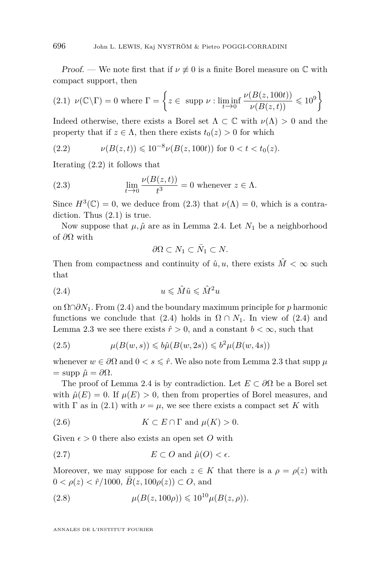<span id="page-8-0"></span>*Proof.* — We note first that if  $\nu \neq 0$  is a finite Borel measure on  $\mathbb C$  with compact support, then

(2.1) 
$$
\nu(\mathbb{C}\setminus\Gamma) = 0
$$
 where  $\Gamma = \left\{ z \in \text{ supp } \nu : \liminf_{t \to 0} \frac{\nu(B(z, 100t))}{\nu(B(z, t))} \leq 10^9 \right\}$ 

Indeed otherwise, there exists a Borel set  $\Lambda \subset \mathbb{C}$  with  $\nu(\Lambda) > 0$  and the property that if  $z \in \Lambda$ , then there exists  $t_0(z) > 0$  for which

(2.2) 
$$
\nu(B(z,t)) \leq 10^{-8} \nu(B(z,100t)) \text{ for } 0 < t < t_0(z).
$$

Iterating (2.2) it follows that

(2.3) 
$$
\lim_{t \to 0} \frac{\nu(B(z, t))}{t^3} = 0 \text{ whenever } z \in \Lambda.
$$

Since  $H^3(\mathbb{C}) = 0$ , we deduce from (2.3) that  $\nu(\Lambda) = 0$ , which is a contradiction. Thus  $(2.1)$  is true.

Now suppose that  $\mu$ ,  $\hat{\mu}$  are as in Lemma [2.4.](#page-7-0) Let  $N_1$  be a neighborhood of *∂*Ω with

$$
\partial\Omega \subset N_1 \subset \bar{N}_1 \subset N.
$$

Then from compactness and continuity of  $\hat{u}, u$ , there exists  $\hat{M} < \infty$  such that

$$
(2.4) \t\t u \leqslant \hat{M}\hat{u} \leqslant \hat{M}^2 u
$$

on Ω∩*∂N*1*.* From (2.4) and the boundary maximum principle for *p* harmonic functions we conclude that (2.4) holds in  $\Omega \cap N_1$ . In view of (2.4) and Lemma [2.3](#page-7-0) we see there exists  $\hat{r} > 0$ , and a constant  $b < \infty$ , such that

(2.5) 
$$
\mu(B(w, s)) \leq b\hat{\mu}(B(w, 2s)) \leq b^2\mu(B(w, 4s))
$$

whenever  $w \in \partial\Omega$  and  $0 < s \leq \hat{r}$ . We also note from Lemma [2.3](#page-7-0) that supp  $\mu$  $=$  supp  $\hat{\mu} = \partial \Omega$ .

The proof of Lemma [2.4](#page-7-0) is by contradiction. Let  $E \subset \partial \Omega$  be a Borel set with  $\hat{\mu}(E) = 0$ . If  $\mu(E) > 0$ , then from properties of Borel measures, and with  $\Gamma$  as in (2.1) with  $\nu = \mu$ , we see there exists a compact set K with

(2.6) 
$$
K \subset E \cap \Gamma
$$
 and  $\mu(K) > 0$ .

Given  $\epsilon > 0$  there also exists an open set O with

(2.7) 
$$
E \subset O \text{ and } \hat{\mu}(O) < \epsilon.
$$

Moreover, we may suppose for each  $z \in K$  that there is a  $\rho = \rho(z)$  with  $0 < \rho(z) < \hat{r}/1000, \bar{B}(z, 100\rho(z)) \subset O$ , and

(2.8) 
$$
\mu(B(z, 100\rho)) \leq 10^{10} \mu(B(z, \rho)).
$$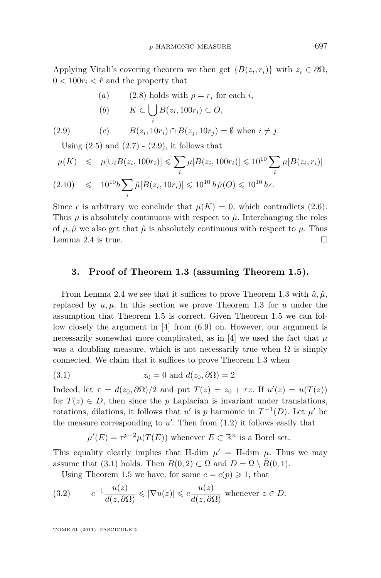<span id="page-9-0"></span>Applying Vitali's covering theorem we then get  ${B(z_i, r_i)}$  with  $z_i \in \partial\Omega$ ,  $0 < 100r_i < \hat{r}$  and the property that

\n- (a) (2.8) holds with 
$$
\rho = r_i
$$
 for each  $i$ ,
\n- (b)  $K \subset \bigcup_i B(z_i, 100r_i) \subset O$ ,
\n

(2.9) 
$$
(c) \qquad B(z_i, 10r_i) \cap B(z_j, 10r_j) = \emptyset \text{ when } i \neq j.
$$

Using  $(2.5)$  and  $(2.7)$  -  $(2.9)$ , it follows that

*i*

$$
\mu(K) \leq \mu[\cup_i B(z_i, 100r_i)] \leq \sum_i \mu[B(z_i, 100r_i)] \leq 10^{10} \sum_i \mu[B(z_i, r_i)]
$$
\n
$$
(2.10) \leq 10^{10} b \sum_i \hat{\mu}[B(z_i, 10r_i)] \leq 10^{10} b \hat{\mu}(O) \leq 10^{10} b \epsilon.
$$

Since  $\epsilon$  is arbitrary we conclude that  $\mu(K) = 0$ , which contradicts [\(2.6\)](#page-8-0). Thus  $\mu$  is absolutely continuous with respect to  $\hat{\mu}$ . Interchanging the roles of  $\mu$ ,  $\hat{\mu}$  we also get that  $\hat{\mu}$  is absolutely continuous with respect to  $\mu$ . Thus Lemma [2.4](#page-7-0) is true.  $\Box$ 

#### **3. Proof of Theorem [1.3](#page-5-0) (assuming Theorem [1.5\)](#page-6-0).**

From Lemma [2.4](#page-7-0) we see that it suffices to prove Theorem [1.3](#page-5-0) with  $\hat{u}, \hat{\mu}$ , replaced by  $u, \mu$ . In this section we prove Theorem [1.3](#page-5-0) for  $u$  under the assumption that Theorem [1.5](#page-6-0) is correct. Given Theorem [1.5](#page-6-0) we can follow closely the argument in [\[4\]](#page-26-0) from (6.9) on. However, our argument is necessarily somewhat more complicated, as in [\[4\]](#page-26-0) we used the fact that  $\mu$ was a doubling measure, which is not necessarily true when  $\Omega$  is simply connected. We claim that it suffices to prove Theorem [1.3](#page-5-0) when

(3.1) 
$$
z_0 = 0 \text{ and } d(z_0, \partial \Omega) = 2.
$$

Indeed, let  $\tau = d(z_0, \partial \Omega)/2$  and put  $T(z) = z_0 + \tau z$ . If  $u'(z) = u(T(z))$ for  $T(z) \in D$ , then since the *p* Laplacian is invariant under translations, rotations, dilations, it follows that *u*' is *p* harmonic in  $T^{-1}(D)$ . Let  $\mu'$  be the measure corresponding to  $u'$ . Then from  $(1.2)$  it follows easily that

$$
\mu'(E) = \tau^{p-2}\mu(T(E))
$$
 whenever  $E \subset \mathbb{R}^n$  is a Borel set.

This equality clearly implies that H-dim  $\mu' =$  H-dim  $\mu$ . Thus we may assume that (3.1) holds. Then  $B(0, 2) \subset \Omega$  and  $D = \Omega \setminus \overline{B}(0, 1)$ *.* 

Using Theorem [1.5](#page-6-0) we have, for some  $c = c(p) \geq 1$ , that

(3.2) 
$$
c^{-1} \frac{u(z)}{d(z, \partial \Omega)} \le |\nabla u(z)| \le c \frac{u(z)}{d(z, \partial \Omega)}
$$
 whenever  $z \in D$ .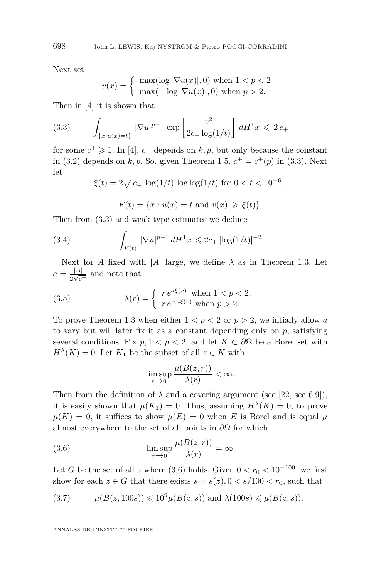Next set

$$
v(x) = \begin{cases} \max(\log |\nabla u(x)|, 0) \text{ when } 1 < p < 2\\ \max(-\log |\nabla u(x)|, 0) \text{ when } p > 2. \end{cases}
$$

Then in [\[4\]](#page-26-0) it is shown that

(3.3) 
$$
\int_{\{x:u(x)=t\}} |\nabla u|^{p-1} \exp\left[\frac{v^2}{2c_+ \log(1/t)}\right] dH^1 x \leq 2c_+
$$

for some  $c^+ \geq 1$ . In [\[4\]](#page-26-0),  $c^+$  depends on  $k, p$ , but only because the constant in [\(3.2\)](#page-9-0) depends on  $k, p$ . So, given Theorem [1.5,](#page-6-0)  $c^+ = c^+(p)$  in (3.3). Next let

$$
\xi(t) = 2\sqrt{c_+ \log(1/t) \log \log(1/t)} \text{ for } 0 < t < 10^{-6},
$$

 $F(t) = \{x : u(x) = t \text{ and } v(x) \geq \xi(t)\}.$ 

Then from (3.3) and weak type estimates we deduce

(3.4) 
$$
\int_{F(t)} |\nabla u|^{p-1} dH^1 x \leq 2c_+ [\log(1/t)]^{-2}.
$$

Next for *A* fixed with  $|A|$  large, we define  $\lambda$  as in Theorem [1.3.](#page-5-0) Let  $a = \frac{|A|}{2\sqrt{a}}$  $\frac{|A|}{2\sqrt{c^+}}$  and note that

(3.5) 
$$
\lambda(r) = \begin{cases} r e^{a\xi(r)} \text{ when } 1 < p < 2, \\ r e^{-a\xi(r)} \text{ when } p > 2. \end{cases}
$$

To prove Theorem [1.3](#page-5-0) when either  $1 < p < 2$  or  $p > 2$ , we initially allow a to vary but will later fix it as a constant depending only on *p,* satisfying several conditions. Fix  $p, 1 < p < 2$ , and let  $K \subset \partial\Omega$  be a Borel set with  $H^{\lambda}(K) = 0$ . Let  $K_1$  be the subset of all  $z \in K$  with

$$
\limsup_{r \to 0} \frac{\mu(B(z, r))}{\lambda(r)} < \infty.
$$

Then from the definition of  $\lambda$  and a covering argument (see [\[22,](#page-27-0) sec 6.9]), it is easily shown that  $\mu(K_1) = 0$ . Thus, assuming  $H^{\lambda}(K) = 0$ , to prove  $\mu(K) = 0$ , it suffices to show  $\mu(E) = 0$  when *E* is Borel and is equal  $\mu$ almost everywhere to the set of all points in *∂*Ω for which

(3.6) 
$$
\limsup_{r \to 0} \frac{\mu(B(z, r))}{\lambda(r)} = \infty.
$$

Let *G* be the set of all *z* where  $(3.6)$  holds. Given  $0 < r_0 < 10^{-100}$ , we first show for each  $z \in G$  that there exists  $s = s(z)$ ,  $0 < s/100 < r_0$ , such that

(3.7) 
$$
\mu(B(z, 100s)) \leq 10^9 \mu(B(z, s))
$$
 and  $\lambda(100s) \leq \mu(B(z, s)).$ 

<span id="page-10-0"></span>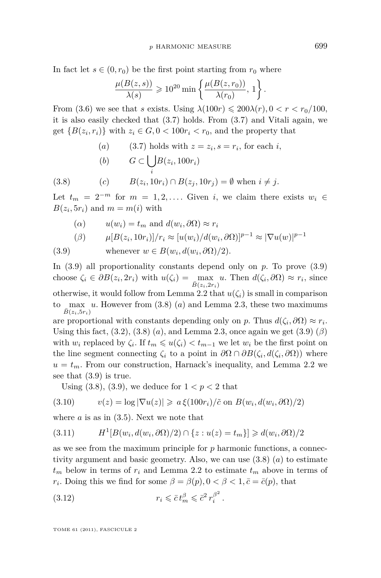<span id="page-11-0"></span>In fact let  $s \in (0, r_0)$  be the first point starting from  $r_0$  where

$$
\frac{\mu(B(z,s))}{\lambda(s)} \geqslant 10^{20} \min \left\{ \frac{\mu(B(z,r_0))}{\lambda(r_0)}, 1 \right\}
$$

From [\(3.6\)](#page-10-0) we see that *s* exists. Using  $\lambda(100r) \leq 200\lambda(r)$ ,  $0 < r < r_0/100$ , it is also easily checked that [\(3.7\)](#page-10-0) holds. From [\(3.7\)](#page-10-0) and Vitali again, we get  ${B(z_i, r_i)}$  with  $z_i \in G, 0 < 100r_i < r_0$ , and the property that

(a) [\(3.7\)](#page-10-0) holds with  $z = z_i$ ,  $s = r_i$ , for each *i*,

(b) 
$$
G \subset \bigcup_i B(z_i, 100r_i)
$$

(3.8) 
$$
(c) \qquad B(z_i, 10r_i) \cap B(z_j, 10r_j) = \emptyset \text{ when } i \neq j.
$$

Let  $t_m = 2^{-m}$  for  $m = 1, 2, \ldots$ . Given *i*, we claim there exists  $w_i \in$  $B(z_i, 5r_i)$  and  $m = m(i)$  with

\n- (
$$
\alpha
$$
)  $u(w_i) = t_m$  and  $d(w_i, \partial \Omega) \approx r_i$
\n- ( $\beta$ )  $\mu[B(z_i, 10r_i)]/r_i \approx [u(w_i)/d(w_i, \partial \Omega)]^{p-1} \approx |\nabla u(w)|^{p-1}$
\n

(3.9) whenever 
$$
w \in B(w_i, d(w_i, \partial \Omega)/2)
$$
.

In  $(3.9)$  all proportionality constants depend only on  $p$ . To prove  $(3.9)$ choose  $\zeta_i \in \partial B(z_i, 2r_i)$  with  $u(\zeta_i) = \max_{\bar{B}(z_i, 2r_i)} u$ . Then  $d(\zeta_i, \partial \Omega) \approx r_i$ , since otherwise, it would follow from Lemma [2.2](#page-7-0) that  $u(\zeta_i)$  is small in comparison to  $\lceil \max u \rceil$ . However from  $(3.8)$   $(a)$  and Lemma [2.3,](#page-7-0) these two maximums  $\bar{B}(z_i, 5r_i)$ are proportional with constants depending only on *p*. Thus  $d(\zeta_i, \partial \Omega) \approx r_i$ . Using this fact,  $(3.2)$ ,  $(3.8)$   $(a)$ *,* and Lemma 2.3*,* once again we get  $(3.9)$   $(\beta)$ with  $w_i$  replaced by  $\zeta_i$ . If  $t_m \leq u(\zeta_i) < t_{m-1}$  we let  $w_i$  be the first point on the line segment connecting  $\zeta_i$  to a point in  $\partial\Omega \cap \partial B(\zeta_i, d(\zeta_i, \partial \Omega))$  where  $u = t_m$ . From our construction, Harnack's inequality, and Lemma [2.2](#page-7-0) we see that (3.9) is true.

Using  $(3.8)$ ,  $(3.9)$ , we deduce for  $1 < p < 2$  that

(3.10) 
$$
v(z) = \log |\nabla u(z)| \geq a \xi(100r_i)/\tilde{c}
$$
 on  $B(w_i, d(w_i, \partial \Omega)/2)$ 

where *a* is as in [\(3.5\)](#page-10-0). Next we note that

$$
(3.11) \tH1[B(wi, d(wi, \partial\Omega)/2) \cap \{z : u(z) = t_m\}] \ge d(wi, \partial\Omega)/2
$$

as we see from the maximum principle for *p* harmonic functions, a connectivity argument and basic geometry. Also, we can use (3.8) (*a*) to estimate  $t_m$  below in terms of  $r_i$  and Lemma [2.2](#page-7-0) to estimate  $t_m$  above in terms of *r*<sub>*i*</sub>. Doing this we find for some  $\beta = \beta(p)$ ,  $0 < \beta < 1$ ,  $\bar{c} = \bar{c}(p)$ , that

(3.12) 
$$
r_i \leq \bar{c} t_m^{\beta} \leq \bar{c}^2 r_i^{\beta^2}.
$$

TOME 61 (2011), FASCICULE 2

*.*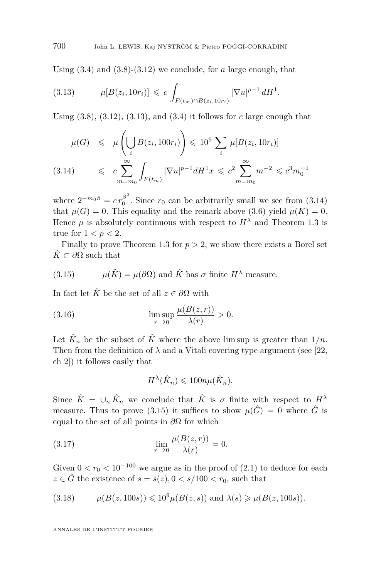Using [\(3.4\)](#page-10-0) and [\(3.8\)](#page-11-0)-[\(3.12\)](#page-11-0) we conclude, for *a* large enough, that

$$
(3.13) \t\t \mu[B(z_i, 10r_i)] \leq c \int_{F(t_m) \cap B(z_i, 10r_i)} |\nabla u|^{p-1} dH^1.
$$

Using  $(3.8)$ ,  $(3.12)$ ,  $(3.13)$ , and  $(3.4)$  it follows for *c* large enough that

$$
\mu(G) \leq \mu\left(\bigcup_{i} B(z_i, 100r_i)\right) \leq 10^9 \sum_{i} \mu[B(z_i, 10r_i)]
$$
\n
$$
(3.14) \leq c \sum_{m=m_0}^{\infty} \int_{F(t_m)} |\nabla u|^{p-1} dH^1 x \leq c^2 \sum_{m=m_0}^{\infty} m^{-2} \leq c^3 m_0^{-1}
$$

where  $2^{-m_0\beta} = \bar{c}r_0^{\beta^2}$  $\int_{0}^{p}$ . Since  $r_0$  can be arbitrarily small we see from  $(3.14)$ that  $\mu(G) = 0$ . This equality and the remark above [\(3.6\)](#page-10-0) yield  $\mu(K) = 0$ . Hence  $\mu$  is absolutely continuous with respect to  $H^{\lambda}$  and Theorem [1.3](#page-5-0) is true for  $1 < p < 2$ .

Finally to prove Theorem [1.3](#page-5-0) for  $p > 2$ , we show there exists a Borel set  $\hat{K} \subset \partial \Omega$  such that

(3.15) 
$$
\mu(\hat{K}) = \mu(\partial \Omega) \text{ and } \hat{K} \text{ has } \sigma \text{ finite } H^{\lambda} \text{ measure.}
$$

In fact let  $\hat{K}$  be the set of all  $z \in \partial \Omega$  with

(3.16) 
$$
\limsup_{r \to 0} \frac{\mu(B(z, r))}{\lambda(r)} > 0.
$$

Let  $\hat{K}_n$  be the subset of  $\hat{K}$  where the above lim sup is greater than  $1/n$ . Then from the definition of  $\lambda$  and a Vitali covering type argument (see [\[22,](#page-27-0) ch 2]) it follows easily that

$$
H^{\lambda}(\hat{K}_n) \leq 100n\mu(\hat{K}_n).
$$

Since  $\hat{K} = \bigcup_n \hat{K}_n$  we conclude that  $\hat{K}$  is  $\sigma$  finite with respect to  $H^{\lambda}$ measure. Thus to prove (3.15) it suffices to show  $\mu(\hat{G}) = 0$  where  $\hat{G}$  is equal to the set of all points in *∂*Ω for which

(3.17) 
$$
\lim_{r \to 0} \frac{\mu(B(z, r))}{\lambda(r)} = 0.
$$

Given  $0 < r_0 < 10^{-100}$  we argue as in the proof of  $(2.1)$  to deduce for each  $z \in \hat{G}$  the existence of  $s = s(z)$ ,  $0 < s/100 < r_0$ , such that

(3.18) 
$$
\mu(B(z, 100s)) \le 10^9 \mu(B(z, s))
$$
 and  $\lambda(s) \ge \mu(B(z, 100s)).$ 

<span id="page-12-0"></span>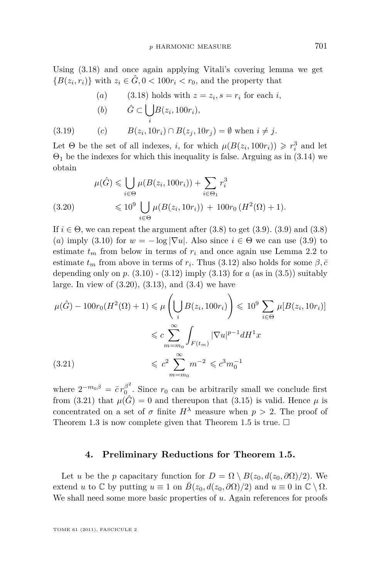<span id="page-13-0"></span>Using [\(3.18\)](#page-12-0) and once again applying Vitali's covering lemma we get  ${B(z_i, r_i)}$  with  $z_i \in \hat{G}, 0 < 100r_i < r_0$ , and the property that

\n- (a) 
$$
(3.18)
$$
 holds with  $z = z_i$ ,  $s = r_i$  for each  $i$ ,
\n- (b)  $\hat{G} \subset \bigcup_i B(z_i, 100r_i),$
\n

(3.19) 
$$
(c) \qquad B(z_i, 10r_i) \cap B(z_j, 10r_j) = \emptyset \text{ when } i \neq j.
$$

Let  $\Theta$  be the set of all indexes, *i*, for which  $\mu(B(z_i, 100r_i)) \ge r_i^3$  and let  $\Theta_1$  be the indexes for which this inequality is false. Arguing as in [\(3.14\)](#page-12-0) we obtain

$$
\mu(\hat{G}) \leq \bigcup_{i \in \Theta} \mu(B(z_i, 100r_i)) + \sum_{i \in \Theta_1} r_i^3
$$
  
(3.20) 
$$
\leq 10^9 \bigcup_{i \in \Theta} \mu(B(z_i, 10r_i)) + 100r_0 (H^2(\Omega) + 1).
$$

If  $i \in \Theta$ , we can repeat the argument after [\(3.8\)](#page-11-0) to get [\(3.9\)](#page-11-0). (3.9) and (3.8) (*a*) imply [\(3.10\)](#page-11-0) for  $w = -\log |\nabla u|$ . Also since  $i \in \Theta$  we can use [\(3.9\)](#page-11-0) to estimate  $t_m$  from below in terms of  $r_i$  and once again use Lemma [2.2](#page-7-0) to estimate  $t_m$  from above in terms of  $r_i$ . Thus [\(3.12\)](#page-11-0) also holds for some  $\beta$ ,  $\bar{c}$ depending only on  $p. (3.10)$  $p. (3.10)$  -  $(3.12)$  imply  $(3.13)$  for  $a$  (as in  $(3.5)$ ) suitably large. In view of  $(3.20)$ ,  $(3.13)$ , and  $(3.4)$  we have

$$
\mu(\hat{G}) - 100r_0(H^2(\Omega) + 1) \leq \mu\left(\bigcup_i B(z_i, 100r_i)\right) \leq 10^9 \sum_{i \in \Theta} \mu[B(z_i, 10r_i)]
$$
  

$$
\leq c \sum_{m=m_0}^{\infty} \int_{F(t_m)} |\nabla u|^{p-1} dH^1 x
$$
  
(3.21)  

$$
\leq c^2 \sum_{m=m_0}^{\infty} m^{-2} \leq c^3 m_0^{-1}
$$

where  $2^{-m_0\beta} = \bar{c}r_0^{\beta^2}$  $\int_{0}^{b}$ . Since  $r_0$  can be arbitrarily small we conclude first from (3.21) that  $\mu(\hat{G}) = 0$  and thereupon that [\(3.15\)](#page-12-0) is valid. Hence  $\mu$  is concentrated on a set of  $\sigma$  finite  $H^{\lambda}$  measure when  $p > 2$ . The proof of Theorem [1.3](#page-5-0) is now complete given that Theorem [1.5](#page-6-0) is true.  $\Box$ 

#### **4. Preliminary Reductions for Theorem [1.5.](#page-6-0)**

Let *u* be the *p* capacitary function for  $D = \Omega \setminus B(z_0, d(z_0, \partial \Omega)/2)$ . We extend *u* to  $\mathbb{C}$  by putting  $u \equiv 1$  on  $\overline{B}(z_0, d(z_0, \partial \Omega)/2)$  and  $u \equiv 0$  in  $\mathbb{C} \setminus \Omega$ . We shall need some more basic properties of *u*. Again references for proofs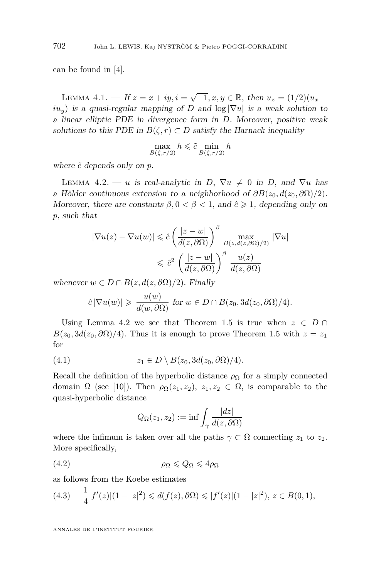<span id="page-14-0"></span>can be found in [\[4\]](#page-26-0).

LEMMA 4.1. — If  $z = x + iy$ ,  $i = \sqrt{-1}$ ,  $x, y \in \mathbb{R}$ , then  $u_z = (1/2)(u_x$  $iu<sub>y</sub>$ ) is a quasi-regular mapping of *D* and  $log |\nabla u|$  is a weak solution to a linear elliptic PDE in divergence form in *D*. Moreover, positive weak solutions to this PDE in  $B(\zeta, r) \subset D$  satisfy the Harnack inequality

$$
\max_{B(\zeta, r/2)} h \leq \tilde{c} \min_{B(\zeta, r/2)} h
$$

where  $\tilde{c}$  depends only on  $p$ .

LEMMA 4.2. — *u* is real-analytic in *D*,  $\nabla u \neq 0$  in *D*, and  $\nabla u$  has a Hölder continuous extension to a neighborhood of  $\partial B(z_0, d(z_0, \partial \Omega)/2)$ . Moreover, there are constants  $\beta$ ,  $0 < \beta < 1$ , and  $\hat{c} \ge 1$ , depending only on *p*, such that

$$
|\nabla u(z) - \nabla u(w)| \leq \hat{c} \left( \frac{|z - w|}{d(z, \partial \Omega)} \right)^{\beta} \max_{B(z, d(z, \partial \Omega)/2)} |\nabla u|
$$
  

$$
\leq \hat{c}^{2} \left( \frac{|z - w|}{d(z, \partial \Omega)} \right)^{\beta} \frac{u(z)}{d(z, \partial \Omega)}
$$

whenever  $w \in D \cap B(z, d(z, \partial \Omega)/2)$ *.* Finally

$$
\hat{c}|\nabla u(w)| \geq \frac{u(w)}{d(w,\partial\Omega)}
$$
 for  $w \in D \cap B(z_0,3d(z_0,\partial\Omega)/4)$ .

Using Lemma 4.2 we see that Theorem [1.5](#page-6-0) is true when  $z \in D \cap$  $B(z_0, 3d(z_0, \partial \Omega)/4)$ . Thus it is enough to prove Theorem [1.5](#page-6-0) with  $z = z_1$ for

(4.1) 
$$
z_1 \in D \setminus B(z_0, 3d(z_0, \partial \Omega)/4).
$$

Recall the definition of the hyperbolic distance  $\rho_{\Omega}$  for a simply connected domain  $\Omega$  (see [\[10\]](#page-26-0)). Then  $\rho_{\Omega}(z_1, z_2), z_1, z_2 \in \Omega$ , is comparable to the quasi-hyperbolic distance

$$
Q_{\Omega}(z_1, z_2) := \inf \int_{\gamma} \frac{|dz|}{d(z, \partial \Omega)}
$$

where the infimum is taken over all the paths  $\gamma \subset \Omega$  connecting  $z_1$  to  $z_2$ . More specifically,

$$
\rho_{\Omega} \leqslant Q_{\Omega} \leqslant 4\rho_{\Omega}
$$

as follows from the Koebe estimates

$$
(4.3) \quad \frac{1}{4}|f'(z)|(1-|z|^2) \leq d(f(z),\partial\Omega) \leq |f'(z)|(1-|z|^2), \, z \in B(0,1),
$$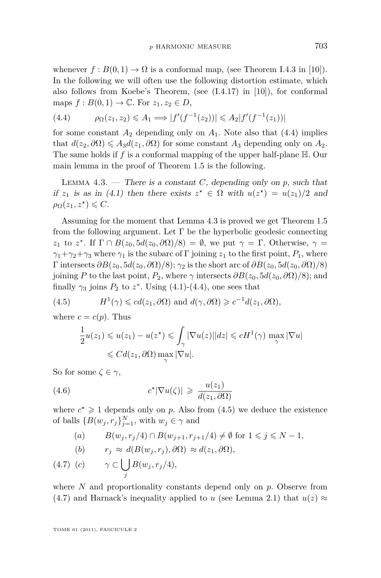<span id="page-15-0"></span>whenever  $f : B(0,1) \to \Omega$  is a conformal map, (see Theorem I.4.3 in [\[10\]](#page-26-0)). In the following we will often use the following distortion estimate, which also follows from Koebe's Theorem, (see  $(1.4.17)$  in [\[10\]](#page-26-0)), for conformal maps  $f: B(0,1) \to \mathbb{C}$ . For  $z_1, z_2 \in D$ ,

(4.4) 
$$
\rho_{\Omega}(z_1, z_2) \leq A_1 \Longrightarrow |f'(f^{-1}(z_2))| \leq A_2 |f'(f^{-1}(z_1))|
$$

for some constant  $A_2$  depending only on  $A_1$ . Note also that  $(4.4)$  implies that  $d(z_2, \partial \Omega) \leq A_3 d(z_1, \partial \Omega)$  for some constant  $A_3$  depending only on  $A_2$ . The same holds if *f* is a conformal mapping of the upper half-plane H. Our main lemma in the proof of Theorem [1.5](#page-6-0) is the following.

LEMMA  $4.3.$  — There is a constant *C*, depending only on *p*, such that if  $z_1$  is as in [\(4.1\)](#page-14-0) then there exists  $z^* \in \Omega$  with  $u(z^*) = u(z_1)/2$  and  $\rho_{\Omega}(z_1, z^{\star}) \leqslant C.$ 

Assuming for the moment that Lemma 4.3 is proved we get Theorem [1.5](#page-6-0) from the following argument. Let  $\Gamma$  be the hyperbolic geodesic connecting *z*<sub>1</sub> to *z*<sup>\*</sup>. If  $\Gamma \cap B(z_0, 5d(z_0, \partial \Omega)/8) = \emptyset$ , we put  $\gamma = \Gamma$ . Otherwise,  $\gamma =$  $\gamma_1 + \gamma_2 + \gamma_3$  where  $\gamma_1$  is the subarc of Γ joining  $z_1$  to the first point,  $P_1$ , where  $Γ$  intersects  $\partial B(z_0, 5d(z_0, \partial \Omega)/8); γ_2$  is the short arc of  $\partial B(z_0, 5d(z_0, \partial \Omega)/8)$ joining *P* to the last point,  $P_2$ , where  $\gamma$  intersects  $\partial B(z_0, 5d(z_0, \partial \Omega)/8)$ ; and finally  $\gamma_3$  joins  $P_2$  to  $z^*$ . Using [\(4.1\)](#page-14-0)-(4.4), one sees that

(4.5) 
$$
H^1(\gamma) \leqslant cd(z_1, \partial \Omega) \text{ and } d(\gamma, \partial \Omega) \geqslant c^{-1}d(z_1, \partial \Omega),
$$

where  $c = c(p)$ . Thus

$$
\frac{1}{2}u(z_1) \leq u(z_1) - u(z^*) \leq \int_{\gamma} |\nabla u(z)||dz| \leq cH^1(\gamma) \max_{\gamma} |\nabla u|
$$
  

$$
\leq C d(z_1, \partial \Omega) \max_{\gamma} |\nabla u|.
$$

So for some  $\zeta \in \gamma$ ,

(4.6) 
$$
c^{\star}|\nabla u(\zeta)| \geqslant \frac{u(z_1)}{d(z_1,\partial\Omega)}
$$

where  $c^* \geq 1$  depends only on *p*. Also from (4.5) we deduce the existence of balls  ${B(w_j, r_j)}_{j=1}^N$ , with  $w_j \in \gamma$  and

\n- (a) 
$$
B(w_j, r_j/4) \cap B(w_{j+1}, r_{j+1}/4) \neq \emptyset
$$
 for  $1 \leq j \leq N-1$ ,
\n- (b)  $r_j \approx d(B(w_j, r_j), \partial \Omega) \approx d(z_1, \partial \Omega)$ ,
\n

$$
(4.7) (c) \qquad \gamma \subset \bigcup_j B(w_j, r_j/4),
$$

where *N* and proportionality constants depend only on *p*. Observe from (4.7) and Harnack's inequality applied to *u* (see Lemma [2.1\)](#page-7-0) that  $u(z) \approx$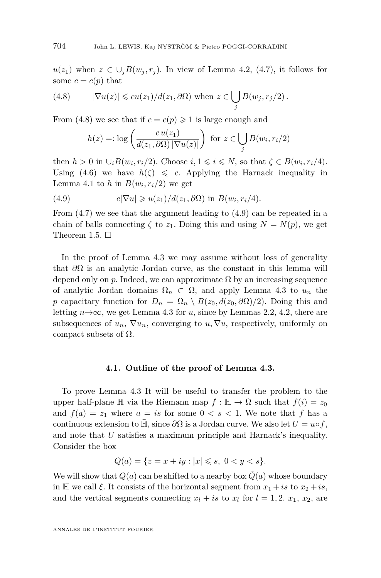<span id="page-16-0"></span> $u(z_1)$  when  $z \in \bigcup_i B(w_i, r_i)$ . In view of Lemma [4.2,](#page-14-0) [\(4.7\)](#page-15-0), it follows for some  $c = c(p)$  that

(4.8) 
$$
|\nabla u(z)| \leqslant cu(z_1)/d(z_1,\partial\Omega) \text{ when } z \in \bigcup_j B(w_j,r_j/2).
$$

From (4.8) we see that if  $c = c(p) \geq 1$  is large enough and

$$
h(z) =: \log\left(\frac{cu(z_1)}{d(z_1, \partial \Omega) \, |\nabla u(z)|}\right) \text{ for } z \in \bigcup_j B(w_i, r_i/2)
$$

then  $h > 0$  in  $\cup_i B(w_i, r_i/2)$ . Choose  $i, 1 \leq i \leq N$ , so that  $\zeta \in B(w_i, r_i/4)$ . Using [\(4.6\)](#page-15-0) we have  $h(\zeta) \leq c$ . Applying the Harnack inequality in Lemma [4.1](#page-14-0) to *h* in  $B(w_i, r_i/2)$  we get

(4.9) 
$$
c|\nabla u| \geqslant u(z_1)/d(z_1,\partial\Omega) \text{ in } B(w_i,r_i/4).
$$

From  $(4.7)$  we see that the argument leading to  $(4.9)$  can be repeated in a chain of balls connecting  $\zeta$  to  $z_1$ . Doing this and using  $N = N(p)$ , we get Theorem [1.5.](#page-6-0)  $\Box$ 

In the proof of Lemma [4.3](#page-15-0) we may assume without loss of generality that *∂*Ω is an analytic Jordan curve, as the constant in this lemma will depend only on  $p$ . Indeed, we can approximate  $\Omega$  by an increasing sequence of analytic Jordan domains  $\Omega_n \subset \Omega$ , and apply Lemma [4.3](#page-15-0) to  $u_n$  the *p* capacitary function for  $D_n = \Omega_n \setminus B(z_0, d(z_0, \partial \Omega)/2)$ . Doing this and letting  $n\rightarrow\infty$ , we get Lemma [4.3](#page-15-0) for *u*, since by Lemmas [2.2,](#page-7-0) [4.2,](#page-14-0) there are subsequences of  $u_n$ ,  $\nabla u_n$ , converging to  $u, \nabla u$ , respectively, uniformly on compact subsets of  $Ω$ .

#### **4.1. Outline of the proof of Lemma [4.3.](#page-15-0)**

To prove Lemma [4.3](#page-15-0) It will be useful to transfer the problem to the upper half-plane  $\mathbb{H}$  via the Riemann map  $f : \mathbb{H} \to \Omega$  such that  $f(i) = z_0$ and  $f(a) = z_1$  where  $a = is$  for some  $0 < s < 1$ . We note that f has a continuous extension to  $\mathbb{H}$ , since  $\partial\Omega$  is a Jordan curve. We also let  $U = u \circ f$ , and note that *U* satisfies a maximum principle and Harnack's inequality. Consider the box

$$
Q(a) = \{ z = x + iy : |x| \leqslant s, \ 0 < y < s \}.
$$

We will show that  $Q(a)$  can be shifted to a nearby box  $Q(a)$  whose boundary in H we call  $\xi$ . It consists of the horizontal segment from  $x_1 + is$  to  $x_2 + is$ , and the vertical segments connecting  $x_l + is$  to  $x_l$  for  $l = 1, 2, x_1, x_2$ , are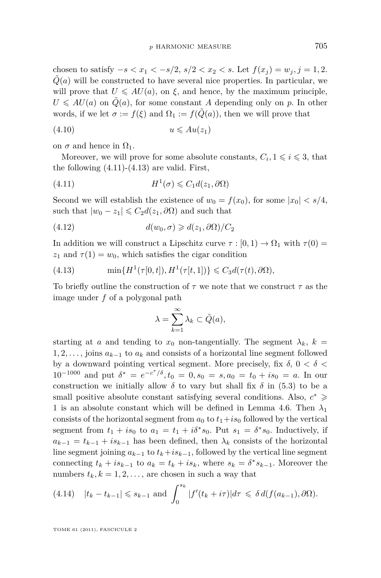<span id="page-17-0"></span>chosen to satisfy  $-s < x_1 < -s/2$ ,  $s/2 < x_2 < s$ . Let  $f(x_i) = w_i, j = 1, 2$ .  $\tilde{Q}(a)$  will be constructed to have several nice properties. In particular, we will prove that  $U \leq A U(a)$ , on  $\xi$ , and hence, by the maximum principle,  $U \leq A U(a)$  on  $Q(a)$ , for some constant *A* depending only on *p*. In other words, if we let  $\sigma := f(\xi)$  and  $\Omega_1 := f(Q(a))$ , then we will prove that

$$
(4.10) \t\t u \leqslant Au(z_1)
$$

on  $\sigma$  and hence in  $\Omega_1$ .

Moreover, we will prove for some absolute constants,  $C_i$ ,  $1 \leq i \leq 3$ , that the following  $(4.11)-(4.13)$  are valid. First,

(4.11) 
$$
H^1(\sigma) \leqslant C_1 d(z_1, \partial \Omega)
$$

Second we will establish the existence of  $w_0 = f(x_0)$ , for some  $|x_0| < s/4$ , such that  $|w_0 - z_1| \leq C_2 d(z_1, \partial \Omega)$  and such that

(4.12) 
$$
d(w_0, \sigma) \geq d(z_1, \partial \Omega) / C_2
$$

In addition we will construct a Lipschitz curve  $\tau$  :  $[0,1) \rightarrow \Omega_1$  with  $\tau(0) =$  $z_1$  and  $\tau(1) = w_0$ , which satisfies the cigar condition

(4.13) 
$$
\min\{H^1(\tau[0,t]), H^1(\tau[t,1])\} \leq C_3 d(\tau(t), \partial\Omega),
$$

To briefly outline the construction of *τ* we note that we construct *τ* as the image under *f* of a polygonal path

$$
\lambda = \sum_{k=1}^{\infty} \lambda_k \subset \tilde{Q}(a),
$$

starting at *a* and tending to  $x_0$  non-tangentially. The segment  $\lambda_k$ ,  $k =$ 1*,* 2*, . . . ,* joins *ak*−<sup>1</sup> to *a<sup>k</sup>* and consists of a horizontal line segment followed by a downward pointing vertical segment. More precisely, fix *δ,* 0 *< δ <*  $10^{-1000}$  and put  $\delta^* = e^{-c^*/\delta}, t_0 = 0, s_0 = s, a_0 = t_0 + is_0 = a$ . In our construction we initially allow  $\delta$  to vary but shall fix  $\delta$  in [\(5.3\)](#page-23-0) to be a small positive absolute constant satisfying several conditions. Also,  $c^* \geqslant$ 1 is an absolute constant which will be defined in Lemma [4.6.](#page-21-0) Then  $\lambda_1$ consists of the horizontal segment from  $a_0$  to  $t_1 + is_0$  followed by the vertical segment from  $t_1 + is_0$  to  $a_1 = t_1 + i\delta^* s_0$ . Put  $s_1 = \delta^* s_0$ . Inductively, if  $a_{k-1} = t_{k-1} + i s_{k-1}$  has been defined, then  $\lambda_k$  consists of the horizontal line segment joining  $a_{k-1}$  to  $t_k + is_{k-1}$ , followed by the vertical line segment connecting  $t_k + is_{k-1}$  to  $a_k = t_k + is_k$ , where  $s_k = \delta^* s_{k-1}$ . Moreover the numbers  $t_k, k = 1, 2, \ldots$ , are chosen in such a way that

$$
(4.14) \quad |t_k - t_{k-1}| \leqslant s_{k-1} \text{ and } \int_0^{s_k} |f'(t_k + i\tau)| d\tau \leqslant \delta d(f(a_{k-1}), \partial \Omega).
$$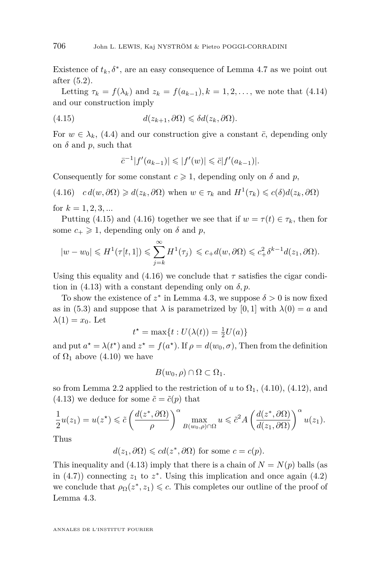<span id="page-18-0"></span>Existence of  $t_k$ ,  $\delta^*$ , are an easy consequence of Lemma [4.7](#page-22-0) as we point out after [\(5.2\)](#page-23-0).

Letting  $\tau_k = f(\lambda_k)$  and  $z_k = f(a_{k-1}), k = 1, 2, \ldots$ , we note that [\(4.14\)](#page-17-0) and our construction imply

(4.15) 
$$
d(z_{k+1}, \partial \Omega) \leq \delta d(z_k, \partial \Omega).
$$

For  $w \in \lambda_k$ , [\(4.4\)](#page-15-0) and our construction give a constant  $\bar{c}$ , depending only on  $\delta$  and  $p$ , such that

$$
\bar{c}^{-1}|f'(a_{k-1})| \leq |f'(w)| \leq \bar{c}|f'(a_{k-1})|.
$$

Consequently for some constant  $c \geq 1$ , depending only on  $\delta$  and p,

(4.16) 
$$
cd(w, \partial \Omega) \geq d(z_k, \partial \Omega)
$$
 when  $w \in \tau_k$  and  $H^1(\tau_k) \leq c(\delta) d(z_k, \partial \Omega)$   
for  $k = 1, 2, 3, ...$ 

Putting (4.15) and (4.16) together we see that if  $w = \tau(t) \in \tau_k$ , then for some  $c_+ \geq 1$ , depending only on  $\delta$  and  $p$ ,

$$
|w - w_0| \le H^1(\tau[t, 1]) \le \sum_{j=k}^{\infty} H^1(\tau_j) \le c_+ d(w, \partial \Omega) \le c_+^2 \delta^{k-1} d(z_1, \partial \Omega).
$$

Using this equality and  $(4.16)$  we conclude that  $\tau$  satisfies the cigar condition in  $(4.13)$  with a constant depending only on  $\delta$ , *p*.

To show the existence of  $z^*$  in Lemma [4.3,](#page-15-0) we suppose  $\delta > 0$  is now fixed as in [\(5.3\)](#page-23-0) and suppose that  $\lambda$  is parametrized by [0, 1] with  $\lambda(0) = a$  and  $\lambda(1) = x_0$ . Let

$$
t^* = \max\{t : U(\lambda(t)) = \frac{1}{2}U(a)\}
$$

and put  $a^* = \lambda(t^*)$  and  $z^* = f(a^*)$ . If  $\rho = d(w_0, \sigma)$ , Then from the definition of  $\Omega_1$  above [\(4.10\)](#page-17-0) we have

$$
B(w_0, \rho) \cap \Omega \subset \Omega_1.
$$

so from Lemma [2.2](#page-7-0) applied to the restriction of *u* to  $\Omega_1$ , [\(4.10\)](#page-17-0), [\(4.12\)](#page-17-0), and  $(4.13)$  we deduce for some  $\tilde{c} = \tilde{c}(p)$  that

$$
\frac{1}{2}u(z_1) = u(z^*) \leq \tilde{c} \left( \frac{d(z^*, \partial \Omega)}{\rho} \right)^{\alpha} \max_{B(w_0, \rho) \cap \Omega} u \leq \tilde{c}^2 A \left( \frac{d(z^*, \partial \Omega)}{d(z_1, \partial \Omega)} \right)^{\alpha} u(z_1).
$$

Thus

$$
d(z_1, \partial \Omega) \leqslant cd(z^*, \partial \Omega)
$$
 for some  $c = c(p)$ .

This inequality and [\(4.13\)](#page-17-0) imply that there is a chain of  $N = N(p)$  balls (as in  $(4.7)$  connecting  $z_1$  to  $z^*$ . Using this implication and once again  $(4.2)$ we conclude that  $\rho_{\Omega}(z^*, z_1) \leq c$ . This completes our outline of the proof of Lemma [4.3.](#page-15-0)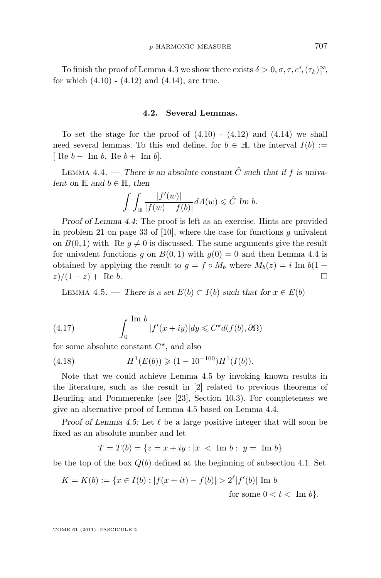<span id="page-19-0"></span>To finish the proof of Lemma [4.3](#page-15-0) we show there exists  $\delta > 0, \sigma, \tau, c^*, (\tau_k)_1^{\infty}$ , for which  $(4.10)$  -  $(4.12)$  and  $(4.14)$ , are true.

#### **4.2. Several Lemmas.**

To set the stage for the proof of  $(4.10)$  -  $(4.12)$  and  $(4.14)$  we shall need several lemmas. To this end define, for  $b \in \mathbb{H}$ , the interval  $I(b) :=$  $\left[ \begin{array}{ccc} \text{Re} & b - \text{Im} & b, \text{Re} & b + \text{Im} & b \end{array} \right].$ 

LEMMA 4.4. — There is an absolute constant  $\hat{C}$  such that if  $f$  is univalent on  $\mathbb H$  and  $b \in \mathbb H$ , then

$$
\int\int_{\mathbb{H}}\frac{|f'(w)|}{|f(w)-f(b)|}dA(w)\leqslant \hat{C}\text{ Im }b.
$$

Proof of Lemma 4.4: The proof is left as an exercise. Hints are provided in problem 21 on page 33 of [\[10\]](#page-26-0), where the case for functions *g* univalent on  $B(0,1)$  with Re  $q \neq 0$  is discussed. The same arguments give the result for univalent functions *g* on  $B(0,1)$  with  $g(0) = 0$  and then Lemma 4.4 is obtained by applying the result to  $g = f \circ M_b$  where  $M_b(z) = i \text{Im } b(1 + z)$ *z*)/(1 − *z*) + Re *b*.  $\Box$ 

LEMMA 4.5. — There is a set  $E(b) \subset I(b)$  such that for  $x \in E(b)$ 

(4.17) 
$$
\int_0^{\text{Im }b} |f'(x+iy)| dy \leq C^{\star} d(f(b), \partial \Omega)
$$

for some absolute constant  $C^*$ , and also

(4.18) 
$$
H^1(E(b)) \geq (1 - 10^{-100})H^1(I(b)).
$$

Note that we could achieve Lemma 4.5 by invoking known results in the literature, such as the result in [\[2\]](#page-26-0) related to previous theorems of Beurling and Pommerenke (see [\[23\]](#page-27-0), Section 10.3). For completeness we give an alternative proof of Lemma 4.5 based on Lemma 4.4.

Proof of Lemma 4.5: Let  $\ell$  be a large positive integer that will soon be fixed as an absolute number and let

$$
T = T(b) = \{ z = x + iy : |x| < \text{Im } b : y = \text{Im } b \}
$$

be the top of the box  $Q(b)$  defined at the beginning of subsection [4.1.](#page-16-0) Set

$$
K = K(b) := \{ x \in I(b) : |f(x + it) - f(b)| > 2^{\ell} |f'(b)| \text{ Im } b
$$

for some  $0 < t < \text{Im } b$ .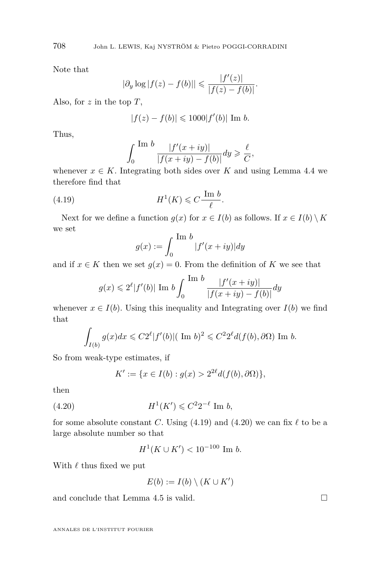Note that

$$
|\partial_y \log |f(z) - f(b)|| \leq \frac{|f'(z)|}{|f(z) - f(b)|}.
$$

Also, for *z* in the top *T*,

$$
|f(z) - f(b)| \leq 1000|f'(b)| \text{ Im } b.
$$

Thus,

$$
\int_0^{\text{Im }b} \frac{|f'(x+iy)|}{|f(x+iy)-f(b)|} dy \geqslant \frac{\ell}{C},
$$

whenever  $x \in K$ . Integrating both sides over K and using Lemma [4.4](#page-19-0) we therefore find that

(4.19) 
$$
H^1(K) \leqslant C \frac{\operatorname{Im} b}{\ell}.
$$

Next for we define a function  $g(x)$  for  $x \in I(b)$  as follows. If  $x \in I(b) \setminus K$ we set

$$
g(x) := \int_0^{\text{Im }b} |f'(x+iy)| dy
$$

and if  $x \in K$  then we set  $g(x) = 0$ . From the definition of K we see that

$$
g(x) \leq 2^{\ell} |f'(b)| \text{ Im } b \int_0^{\text{Im } b} \frac{|f'(x+iy)|}{|f(x+iy) - f(b)|} dy
$$

whenever  $x \in I(b)$ . Using this inequality and Integrating over  $I(b)$  we find that

$$
\int_{I(b)} g(x)dx \leqslant C2^{\ell} |f'(b)| (\text{ Im } b)^2 \leqslant C^2 2^{\ell} d(f(b), \partial \Omega) \text{ Im } b.
$$

So from weak-type estimates, if

$$
K' := \{ x \in I(b) : g(x) > 2^{2\ell} d(f(b), \partial \Omega) \},
$$

then

(4.20) 
$$
H^1(K') \leq C^2 2^{-\ell} \text{ Im } b,
$$

for some absolute constant *C*. Using  $(4.19)$  and  $(4.20)$  we can fix  $\ell$  to be a large absolute number so that

$$
H^1(K \cup K') < 10^{-100} \text{ Im } b.
$$

With  $\ell$  thus fixed we put

$$
E(b) := I(b) \setminus (K \cup K')
$$

and conclude that Lemma [4.5](#page-19-0) is valid.  $\square$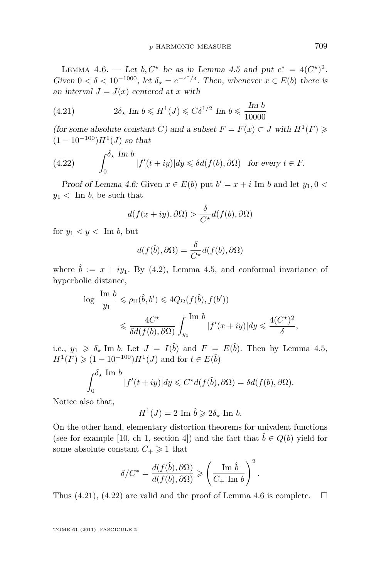<span id="page-21-0"></span>LEMMA 4.6. — Let *b*,  $C^*$  be as in Lemma [4.5](#page-19-0) and put  $c^* = 4(C^*)^2$ . Given  $0 < \delta < 10^{-1000}$ , let  $\delta_{\star} = e^{-c^*/\delta}$ . Then, whenever  $x \in E(b)$  there is an interval  $J = J(x)$  centered at *x* with

(4.21) 
$$
2\delta_{\star} \operatorname{Im} b \leqslant H^{1}(J) \leqslant C\delta^{1/2} \operatorname{Im} b \leqslant \frac{\operatorname{Im} b}{10000}
$$

(for some absolute constant *C*) and a subset  $F = F(x) \subset J$  with  $H^1(F) \ge$  $(1 - 10^{-100})H^{1}(J)$  so that

(4.22) 
$$
\int_0^{\delta_{\star} \text{Im } b} |f'(t+iy)| dy \leq \delta d(f(b), \partial \Omega) \text{ for every } t \in F.
$$

Proof of Lemma 4.6: Given  $x \in E(b)$  put  $b' = x + i$  Im *b* and let  $y_1, 0 <$  $y_1$  < Im *b*, be such that

$$
d(f(x+iy),\partial\Omega) > \frac{\delta}{C^*}d(f(b),\partial\Omega)
$$

for  $y_1 < y <$  Im *b*, but

$$
d(f(\hat{b}),\partial\Omega) = \frac{\delta}{C^{\star}}d(f(b),\partial\Omega)
$$

where  $\hat{b} := x + iy_1$ . By [\(4.2\)](#page-14-0), Lemma [4.5,](#page-19-0) and conformal invariance of hyperbolic distance,

$$
\log \frac{\text{Im } b}{y_1} \leq \rho_{\mathbb{H}}(\hat{b}, b') \leq 4Q_{\Omega}(f(\hat{b}), f(b'))
$$
  

$$
\leq \frac{4C^{\star}}{\delta d(f(b), \partial \Omega)} \int_{y_1}^{\text{Im } b} |f'(x+iy)| dy \leq \frac{4(C^{\star})^2}{\delta},
$$

i.e.,  $y_1 \geq \delta_*$  Im *b.* Let  $J = I(\hat{b})$  and  $F = E(\hat{b})$ . Then by Lemma [4.5,](#page-19-0)  $H^1(F) \geq (1 - 10^{-100})H^1(J)$  and for  $t \in E(\hat{b})$ 

$$
\int_0^{\delta_{\star}} \frac{\text{Im } b}{|f'(t+iy)|} dy \leq C^{\star} d(f(\hat{b}), \partial \Omega) = \delta d(f(b), \partial \Omega).
$$

Notice also that,

$$
H^1(J) = 2 \text{ Im } \hat{b} \geq 2\delta_\star \text{ Im } b.
$$

On the other hand, elementary distortion theorems for univalent functions (see for example [\[10,](#page-26-0) ch 1, section 4]) and the fact that  $\hat{b} \in Q(b)$  yield for some absolute constant  $C_+ \geq 1$  that

$$
\delta/C^* = \frac{d(f(\hat{b}), \partial \Omega)}{d(f(b), \partial \Omega)} \geqslant \left(\frac{\text{Im } \hat{b}}{C_+ \text{ Im } b}\right)^2.
$$

Thus (4.21), (4.22) are valid and the proof of Lemma 4.6 is complete.  $\Box$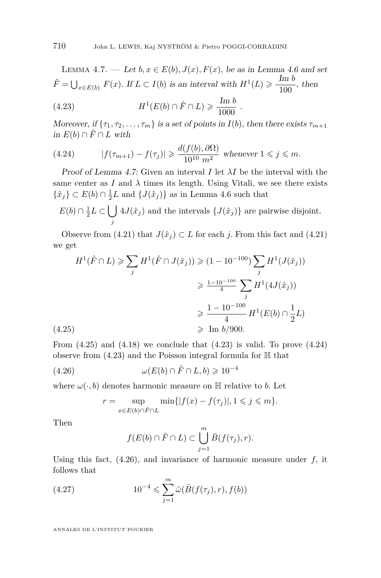<span id="page-22-0"></span>LEMMA 4.7. — Let  $b, x \in E(b), J(x), F(x)$ , be as in Lemma [4.6](#page-21-0) and set  $\hat{F} = \bigcup_{x \in E(b)} F(x)$ . If  $L \subset I(b)$  is an interval with  $H^1(L) \geq \frac{\text{Im } b}{100}$  $\frac{1}{100}$ , then

(4.23) 
$$
H^1(E(b) \cap \hat{F} \cap L) \geq \frac{\text{Im } b}{1000}.
$$

Moreover, if  $\{\tau_1, \tau_2, \ldots, \tau_m\}$  is a set of points in  $I(b)$ , then there exists  $\tau_{m+1}$ *in*  $E(b) ∩ F ∩ L$  with

(4.24) 
$$
|f(\tau_{m+1}) - f(\tau_j)| \geq \frac{d(f(b), \partial \Omega)}{10^{10} m^2} \text{ whenever } 1 \leq j \leq m.
$$

Proof of Lemma 4.7: Given an interval *I* let *λI* be the interval with the same center as  $I$  and  $\lambda$  times its length. Using Vitali, we see there exists  $\{\hat{x}_j\} \subset E(b) \cap \frac{1}{2}L$  and  $\{J(\hat{x}_j)\}$  as in Lemma [4.6](#page-21-0) such that

 $E(b) \cap \frac{1}{2}L \subset \bigcup$ *j*  $4J(\hat{x}_j)$  and the intervals  $\{J(\hat{x}_j)\}\$ are pairwise disjoint.

Observe from [\(4.21\)](#page-21-0) that  $J(\hat{x}_i) \subset L$  for each *j*. From this fact and (4.21) we get

$$
H^{1}(\hat{F} \cap L) \geq \sum_{j} H^{1}(\hat{F} \cap J(\hat{x}_{j})) \geq (1 - 10^{-100}) \sum_{j} H^{1}(J(\hat{x}_{j}))
$$
  

$$
\geq \frac{1 - 10^{-100}}{4} \sum_{j} H^{1}(4J(\hat{x}_{j}))
$$
  

$$
\geq \frac{1 - 10^{-100}}{4} H^{1}(E(b) \cap \frac{1}{2}L)
$$
  
(4.25)  

$$
\geq \text{Im } b/900.
$$

From  $(4.25)$  and  $(4.18)$  we conclude that  $(4.23)$  is valid. To prove  $(4.24)$ observe from  $(4.23)$  and the Poisson integral formula for  $\mathbb H$  that

(4.26) 
$$
\omega(E(b) \cap \hat{F} \cap L, b) \geq 10^{-4}
$$

where  $\omega(\cdot, b)$  denotes harmonic measure on  $\mathbb H$  relative to *b*. Let

$$
r = \sup_{x \in E(b) \cap \hat{F} \cap L} \min\{|f(x) - f(\tau_j)|, 1 \leq j \leq m\}.
$$

Then

$$
f(E(b) \cap \hat{F} \cap L) \subset \bigcup_{j=1}^{m} \bar{B}(f(\tau_j), r).
$$

Using this fact,  $(4.26)$ , and invariance of harmonic measure under  $f$ , it follows that

(4.27) 
$$
10^{-4} \leq \sum_{j=1}^{m} \tilde{\omega}(\bar{B}(f(\tau_j), r), f(b))
$$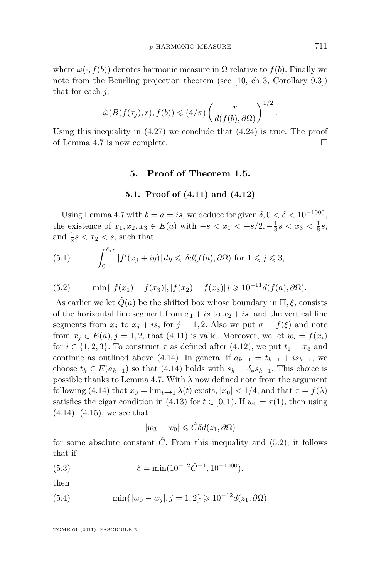<span id="page-23-0"></span>where  $\tilde{\omega}(\cdot, f(b))$  denotes harmonic measure in  $\Omega$  relative to  $f(b)$ . Finally we note from the Beurling projection theorem (see [\[10,](#page-26-0) ch 3, Corollary 9.3]) that for each *j,*

$$
\tilde{\omega}(\bar{B}(f(\tau_j),r),f(b)) \leqslant (4/\pi) \left(\frac{r}{d(f(b),\partial\Omega)}\right)^{1/2}
$$

Using this inequality in  $(4.27)$  we conclude that  $(4.24)$  is true. The proof of Lemma [4.7](#page-22-0) is now complete.

#### **5. Proof of Theorem [1.5.](#page-6-0)**

#### **5.1. Proof of [\(4.11\)](#page-17-0) and [\(4.12\)](#page-17-0)**

Using Lemma [4.7](#page-22-0) with  $b = a = is$ , we deduce for given  $\delta$ ,  $0 < \delta < 10^{-1000}$ , the existence of  $x_1, x_2, x_3 \in E(a)$  with  $-s < x_1 < -s/2, -\frac{1}{8}s < x_3 < \frac{1}{8}s$ , and  $\frac{1}{2}s < x_2 < s$ , such that

(5.1) 
$$
\int_0^{\delta_* s} |f'(x_j + iy)| dy \leq \delta d(f(a), \partial \Omega) \text{ for } 1 \leq j \leq 3,
$$

(5.2) 
$$
\min\{|f(x_1) - f(x_3)|, |f(x_2) - f(x_3)|\} \geq 10^{-11} d(f(a), \partial \Omega).
$$

As earlier we let  $\tilde{Q}(a)$  be the shifted box whose boundary in  $\mathbb{H}, \xi$ , consists of the horizontal line segment from  $x_1 + is$  to  $x_2 + is$ , and the vertical line segments from  $x_j$  to  $x_j + is$ , for  $j = 1, 2$ . Also we put  $\sigma = f(\xi)$  and note from  $x_i \in E(a)$ ,  $j = 1, 2$ , that (4.[11\)](#page-17-0) is valid. Moreover, we let  $w_i = f(x_i)$ for  $i \in \{1,2,3\}$ . To construct  $\tau$  as defined after [\(4.12\)](#page-17-0), we put  $t_1 = x_3$  and continue as outlined above [\(4.14\)](#page-17-0). In general if  $a_{k-1} = t_{k-1} + is_{k-1}$ , we choose  $t_k \in E(a_{k-1})$  so that [\(4.14\)](#page-17-0) holds with  $s_k = \delta_* s_{k-1}$ . This choice is possible thanks to Lemma [4.7.](#page-22-0) With  $\lambda$  now defined note from the argument following [\(4.14\)](#page-17-0) that  $x_0 = \lim_{t \to 1} \lambda(t)$  exists,  $|x_0| < 1/4$ , and that  $\tau = f(\lambda)$ satisfies the cigar condition in [\(4.13\)](#page-17-0) for  $t \in [0, 1)$ *.* If  $w_0 = \tau(1)$ *,* then using  $(4.14)$ ,  $(4.15)$ , we see that

$$
|w_3 - w_0| \leqslant \hat{C} \delta d(z_1, \partial \Omega)
$$

for some absolute constant  $\hat{C}$ . From this inequality and (5.2), it follows that if

(5.3) 
$$
\delta = \min(10^{-12}\hat{C}^{-1}, 10^{-1000}),
$$

then

(5.4) 
$$
\min\{|w_0 - w_j|, j = 1, 2\} \geq 10^{-12} d(z_1, \partial \Omega).
$$

TOME 61 (2011), FASCICULE 2

*.*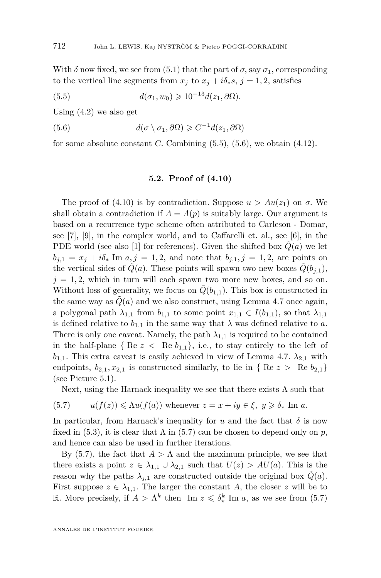With  $\delta$  now fixed, we see from [\(5.1\)](#page-23-0) that the part of  $\sigma$ , say  $\sigma_1$ , corresponding to the vertical line segments from  $x_j$  to  $x_j + i\delta_* s$ ,  $j = 1, 2$ , satisfies

(5.5) 
$$
d(\sigma_1, w_0) \geq 10^{-13} d(z_1, \partial \Omega).
$$

Using [\(4.2\)](#page-14-0) we also get

(5.6) 
$$
d(\sigma \setminus \sigma_1, \partial \Omega) \geqslant C^{-1} d(z_1, \partial \Omega)
$$

for some absolute constant  $C$ . Combining  $(5.5)$ ,  $(5.6)$ , we obtain  $(4.12)$ .

#### **5.2. Proof of [\(4.10\)](#page-17-0)**

The proof of [\(4.10\)](#page-17-0) is by contradiction. Suppose  $u > Au(z_1)$  on  $\sigma$ . We shall obtain a contradiction if  $A = A(p)$  is suitably large. Our argument is based on a recurrence type scheme often attributed to Carleson - Domar, see [\[7\]](#page-26-0), [\[9\]](#page-26-0), in the complex world, and to Caffarelli et. al., see [\[6\]](#page-26-0), in the PDE world (see also [\[1\]](#page-26-0) for references). Given the shifted box  $Q(a)$  we let  $b_{j,1} = x_j + i\delta_*$  Im  $a, j = 1, 2$ , and note that  $b_{j,1}, j = 1, 2$ , are points on the vertical sides of  $\tilde{Q}(a)$ . These points will spawn two new boxes  $\tilde{Q}(b_{i,1}),$  $j = 1, 2$ , which in turn will each spawn two more new boxes, and so on. Without loss of generality, we focus on  $\tilde{Q}(b_{1,1})$ . This box is constructed in the same way as  $\tilde{Q}(a)$  and we also construct, using Lemma [4.7](#page-22-0) once again, a polygonal path  $\lambda_{1,1}$  from  $b_{1,1}$  to some point  $x_{1,1} \in I(b_{1,1})$ , so that  $\lambda_{1,1}$ is defined relative to  $b_{1,1}$  in the same way that  $\lambda$  was defined relative to *a*. There is only one caveat. Namely, the path  $\lambda_{1,1}$  is required to be contained in the half-plane {  $\text{Re } z < \text{Re } b_{1,1}$ }, i.e., to stay entirely to the left of  $b_{1,1}$ . This extra caveat is easily achieved in view of Lemma [4.7.](#page-22-0)  $\lambda_{2,1}$  with endpoints,  $b_{2,1}, x_{2,1}$  is constructed similarly, to lie in { Re  $z >$  Re  $b_{2,1}$ } (see Picture [5.1\)](#page-25-0).

Next, using the Harnack inequality we see that there exists  $\Lambda$  such that

(5.7) 
$$
u(f(z)) \leq \Lambda u(f(a))
$$
 whenever  $z = x + iy \in \xi$ ,  $y \geq \delta_*$  Im a.

In particular, from Harnack's inequality for  $u$  and the fact that  $\delta$  is now fixed in [\(5.3\)](#page-23-0), it is clear that  $\Lambda$  in (5.7) can be chosen to depend only on  $p$ , and hence can also be used in further iterations.

By (5.7), the fact that  $A > \Lambda$  and the maximum principle, we see that there exists a point  $z \in \lambda_{1,1} \cup \lambda_{2,1}$  such that  $U(z) > AU(a)$ . This is the reason why the paths  $\lambda_{j,1}$  are constructed outside the original box  $Q(a)$ . First suppose  $z \in \lambda_{1,1}$ . The larger the constant A, the closer z will be to R. More precisely, if  $A > \Lambda^k$  then Im  $z \leq \delta^k$  Im *a*, as we see from (5.7)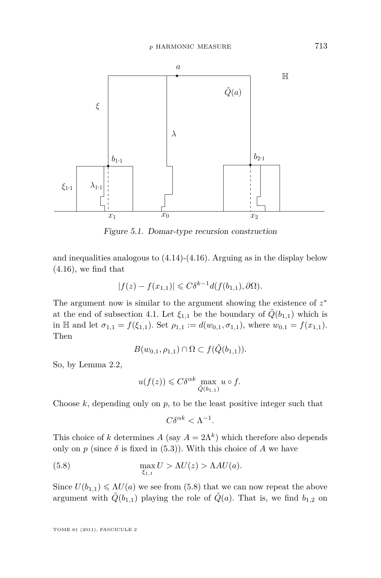<span id="page-25-0"></span>

Figure 5.1. Domar-type recursion construction

and inequalities analogous to [\(4.14\)](#page-17-0)-[\(4.16\)](#page-18-0). Arguing as in the display below  $(4.16)$ , we find that

$$
|f(z) - f(x_{1,1})| \leq C\delta^{k-1}d(f(b_{1,1}), \partial\Omega).
$$

The argument now is similar to the argument showing the existence of  $z^*$ at the end of subsection [4.1.](#page-16-0) Let  $\xi_{1,1}$  be the boundary of  $\tilde{Q}(b_{1,1})$  which is in H and let  $\sigma_{1,1} = f(\xi_{1,1})$ . Set  $\rho_{1,1} := d(w_{0,1}, \sigma_{1,1})$ , where  $w_{0,1} = f(x_{1,1})$ . Then

$$
B(w_{0,1},\rho_{1,1}) \cap \Omega \subset f(\tilde{Q}(b_{1,1})).
$$

So, by Lemma [2.2,](#page-7-0)

$$
u(f(z)) \leqslant C\delta^{\alpha k} \max_{\tilde{Q}(b_{1,1})} u \circ f.
$$

Choose  $k$ , depending only on  $p$ , to be the least positive integer such that

$$
C\delta^{\alpha k} < \Lambda^{-1}.
$$

This choice of *k* determines  $A$  (say  $A = 2\Lambda^k$ ) which therefore also depends only on *p* (since  $\delta$  is fixed in [\(5.3\)](#page-23-0)). With this choice of *A* we have

(5.8) 
$$
\max_{\xi_{1,1}} U > \Lambda U(z) > \Lambda A U(a).
$$

Since  $U(b_{1,1}) \le \Lambda U(a)$  we see from (5.8) that we can now repeat the above argument with  $\tilde{Q}(b_{1,1})$  playing the role of  $\tilde{Q}(a)$ . That is, we find  $b_{1,2}$  on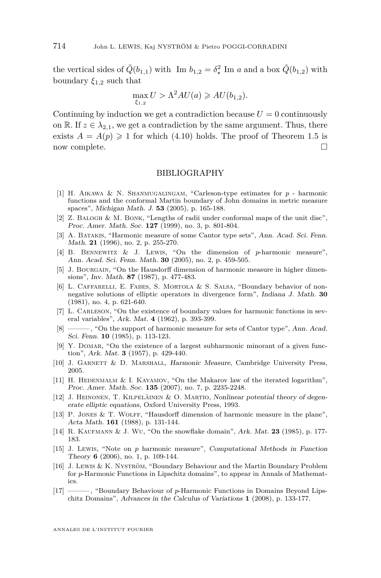<span id="page-26-0"></span>the vertical sides of  $\tilde{Q}(b_{1,1})$  with Im  $b_{1,2} = \delta^2$ , Im *a* and a box  $\tilde{Q}(b_{1,2})$  with boundary  $\xi_{1,2}$  such that

$$
\max_{\xi_{1,2}} U > \Lambda^2 AU(a) \geqslant AU(b_{1,2}).
$$

Continuing by induction we get a contradiction because  $U = 0$  continuously on R. If  $z \in \lambda_{2,1}$ , we get a contradiction by the same argument. Thus, there exists  $A = A(p) \geq 1$  for which [\(4.10\)](#page-17-0) holds. The proof of Theorem [1.5](#page-6-0) is now complete.

#### BIBLIOGRAPHY

- [1] H. Aikawa & N. Shanmugalingam, "Carleson-type estimates for *p* harmonic functions and the conformal Martin boundary of John domains in metric measure spaces", Michigan Math. J. **53** (2005), p. 165-188.
- [2] Z. Balogh & M. Bonk, "Lengths of radii under conformal maps of the unit disc", Proc. Amer. Math. Soc. **127** (1999), no. 3, p. 801-804.
- [3] A. Batakis, "Harmonic measure of some Cantor type sets", Ann. Acad. Sci. Fenn. Math. **21** (1996), no. 2, p. 255-270.
- [4] B. Bennewitz & J. Lewis, "On the dimension of *p*-harmonic measure", Ann. Acad. Sci. Fenn. Math. **30** (2005), no. 2, p. 459-505.
- [5] J. BOURGAIN, "On the Hausdorff dimension of harmonic measure in higher dimensions", Inv. Math. **87** (1987), p. 477-483.
- [6] L. Caffarelli, E. Fabes, S. Mortola & S. Salsa, "Boundary behavior of nonnegative solutions of elliptic operators in divergence form", Indiana J. Math. **30** (1981), no. 4, p. 621-640.
- [7] L. Carleson, "On the existence of boundary values for harmonic functions in several variables", Ark. Mat. **4** (1962), p. 393-399.
- [8] ——— , "On the support of harmonic measure for sets of Cantor type", Ann. Acad. Sci. Fenn. **10** (1985), p. 113-123.
- [9] Y. Domar, "On the existence of a largest subharmonic minorant of a given function", Ark. Mat. **3** (1957), p. 429-440.
- [10] J. GARNETT & D. MARSHALL, Harmonic Measure, Cambridge University Press, 2005.
- [11] H. HEDENMALM & I. KAYAMOV, "On the Makarov law of the iterated logarithm", Proc. Amer. Math. Soc. **135** (2007), no. 7, p. 2235-2248.
- [12] J. Heinonen, T. Kilpeläinen & O. Martio, Nonlinear potential theory of degenerate elliptic equations, Oxford University Press, 1993.
- [13] P. Jones & T. Wolff, "Hausdorff dimension of harmonic measure in the plane", Acta Math. **161** (1988), p. 131-144.
- [14] R. KAUFMANN & J. WU, "On the snowflake domain", Ark. Mat. 23 (1985), p. 177-183.
- [15] J. Lewis, "Note on *p* harmonic measure", Computational Methods in Function Theory **6** (2006), no. 1, p. 109-144.
- [16] J. Lewis & K. Nyström, "Boundary Behaviour and the Martin Boundary Problem for *p*-Harmonic Functions in Lipschitz domains", to appear in Annals of Mathematics.
- [17] ——— , "Boundary Behaviour of *p*-Harmonic Functions in Domains Beyond Lipschitz Domains", Advances in the Calculus of Variations **1** (2008), p. 133-177.